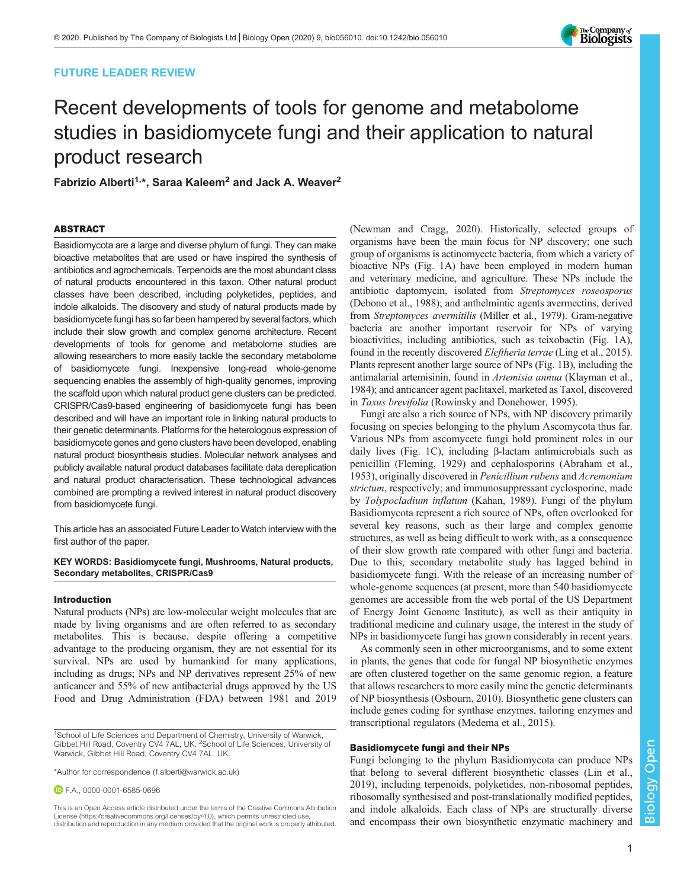## FUTURE LEADER REVIEW

# Recent developments of tools for genome and metabolome studies in basidiomycete fungi and their application to natural product research

Fabrizio Alberti<sup>1,\*</sup>, Saraa Kaleem<sup>2</sup> and Jack A. Weaver<sup>2</sup>

## ABSTRACT

Basidiomycota are a large and diverse phylum of fungi. They can make bioactive metabolites that are used or have inspired the synthesis of antibiotics and agrochemicals. Terpenoids are the most abundant class of natural products encountered in this taxon. Other natural product classes have been described, including polyketides, peptides, and indole alkaloids. The discovery and study of natural products made by basidiomycete fungi has so far been hampered by several factors, which include their slow growth and complex genome architecture. Recent developments of tools for genome and metabolome studies are allowing researchers to more easily tackle the secondary metabolome of basidiomycete fungi. Inexpensive long-read whole-genome sequencing enables the assembly of high-quality genomes, improving the scaffold upon which natural product gene clusters can be predicted. CRISPR/Cas9-based engineering of basidiomycete fungi has been described and will have an important role in linking natural products to their genetic determinants. Platforms for the heterologous expression of basidiomycete genes and gene clusters have been developed, enabling natural product biosynthesis studies. Molecular network analyses and publicly available natural product databases facilitate data dereplication and natural product characterisation. These technological advances combined are prompting a revived interest in natural product discovery from basidiomycete fungi.

[This article has an associated Future Leader to Watch interview with the](https://doi.org/10.1242/bio.057679) [first author of the paper.](https://doi.org/10.1242/bio.057679)

## KEY WORDS: Basidiomycete fungi, Mushrooms, Natural products, Secondary metabolites, CRISPR/Cas9

### Introduction

Natural products (NPs) are low-molecular weight molecules that are made by living organisms and are often referred to as secondary metabolites. This is because, despite offering a competitive advantage to the producing organism, they are not essential for its survival. NPs are used by humankind for many applications, including as drugs; NPs and NP derivatives represent 25% of new anticancer and 55% of new antibacterial drugs approved by the US Food and Drug Administration (FDA) between 1981 and 2019

\*Author for correspondence [\(f.alberti@warwick.ac.uk](mailto:f.alberti@warwick.ac.uk))

**D** F.A., [0000-0001-6585-0696](http://orcid.org/0000-0001-6585-0696)

[\(Newman and Cragg, 2020\)](#page-10-0). Historically, selected groups of organisms have been the main focus for NP discovery; one such group of organisms is actinomycete bacteria, from which a variety of bioactive NPs ([Fig. 1](#page-1-0)A) have been employed in modern human and veterinary medicine, and agriculture. These NPs include the antibiotic daptomycin, isolated from Streptomyces roseosporus [\(Debono et al., 1988\)](#page-9-0); and anthelmintic agents avermectins, derived from Streptomyces avermitilis ([Miller et al., 1979\)](#page-9-0). Gram-negative bacteria are another important reservoir for NPs of varying bioactivities, including antibiotics, such as teixobactin [\(Fig. 1](#page-1-0)A), found in the recently discovered *Eleftheria terrae* [\(Ling et al., 2015\)](#page-9-0). Plants represent another large source of NPs [\(Fig. 1B](#page-1-0)), including the antimalarial artemisinin, found in Artemisia annua ([Klayman et al.,](#page-9-0) [1984\)](#page-9-0); and anticancer agent paclitaxel, marketed as Taxol, discovered in Taxus brevifolia [\(Rowinsky and Donehower, 1995\)](#page-10-0).

Fungi are also a rich source of NPs, with NP discovery primarily focusing on species belonging to the phylum Ascomycota thus far. Various NPs from ascomycete fungi hold prominent roles in our daily lives ([Fig. 1C](#page-1-0)), including β-lactam antimicrobials such as penicillin [\(Fleming, 1929](#page-9-0)) and cephalosporins ([Abraham et al.,](#page-8-0) [1953\)](#page-8-0), originally discovered in Penicillium rubens and Acremonium strictum, respectively; and immunosuppressant cyclosporine, made by Tolypocladium inflatum ([Kahan, 1989](#page-9-0)). Fungi of the phylum Basidiomycota represent a rich source of NPs, often overlooked for several key reasons, such as their large and complex genome structures, as well as being difficult to work with, as a consequence of their slow growth rate compared with other fungi and bacteria. Due to this, secondary metabolite study has lagged behind in basidiomycete fungi. With the release of an increasing number of whole-genome sequences (at present, more than 540 basidiomycete genomes are accessible from the web portal of the US Department of Energy Joint Genome Institute), as well as their antiquity in traditional medicine and culinary usage, the interest in the study of NPs in basidiomycete fungi has grown considerably in recent years.

As commonly seen in other microorganisms, and to some extent in plants, the genes that code for fungal NP biosynthetic enzymes are often clustered together on the same genomic region, a feature that allows researchers to more easily mine the genetic determinants of NP biosynthesis ([Osbourn, 2010\)](#page-10-0). Biosynthetic gene clusters can include genes coding for synthase enzymes, tailoring enzymes and transcriptional regulators ([Medema et al., 2015\)](#page-9-0).

## Basidiomycete fungi and their NPs

Fungi belonging to the phylum Basidiomycota can produce NPs that belong to several different biosynthetic classes ([Lin et al.,](#page-9-0) [2019\)](#page-9-0), including terpenoids, polyketides, non-ribosomal peptides, ribosomally synthesised and post-translationally modified peptides, and indole alkaloids. Each class of NPs are structurally diverse and encompass their own biosynthetic enzymatic machinery and



Biology



<sup>&</sup>lt;sup>1</sup>School of Life Sciences and Department of Chemistry, University of Warwick, Gibbet Hill Road, Coventry CV4 7AL, UK. <sup>2</sup>School of Life Sciences, University of Warwick, Gibbet Hill Road, Coventry CV4 7AL, UK.

This is an Open Access article distributed under the terms of the Creative Commons Attribution License (https://creativecommons.org/licenses/by/4.0), which permits unrestricted use, distribution and reproduction in any medium provided that the original work is properly attributed.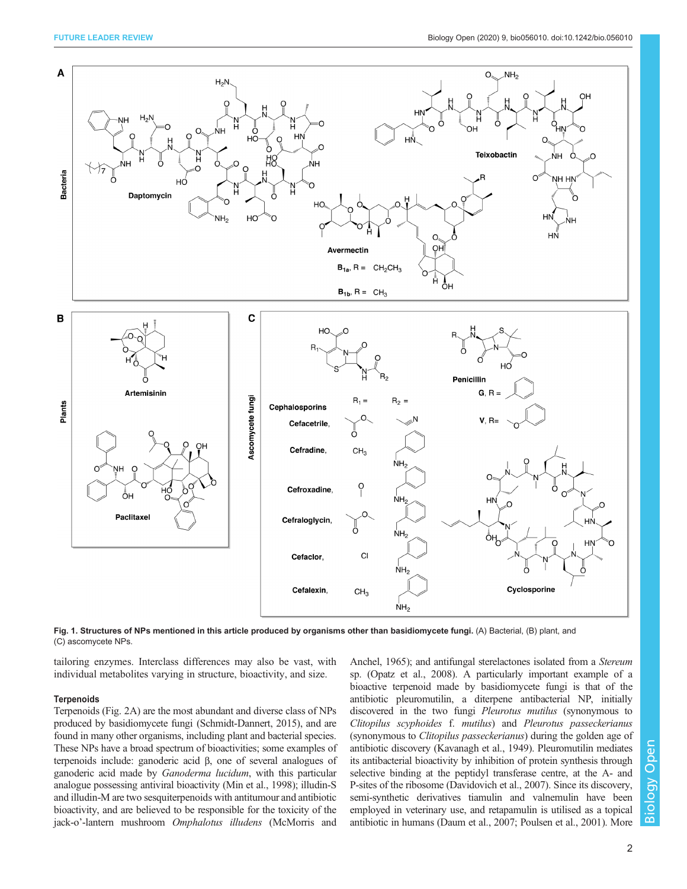<span id="page-1-0"></span>

Fig. 1. Structures of NPs mentioned in this article produced by organisms other than basidiomycete fungi. (A) Bacterial, (B) plant, and (C) ascomycete NPs.

tailoring enzymes. Interclass differences may also be vast, with individual metabolites varying in structure, bioactivity, and size.

## **Terpenoids**

Terpenoids [\(Fig. 2](#page-2-0)A) are the most abundant and diverse class of NPs produced by basidiomycete fungi [\(Schmidt-Dannert, 2015\)](#page-10-0), and are found in many other organisms, including plant and bacterial species. These NPs have a broad spectrum of bioactivities; some examples of terpenoids include: ganoderic acid β, one of several analogues of ganoderic acid made by Ganoderma lucidum, with this particular analogue possessing antiviral bioactivity [\(Min et al., 1998](#page-10-0)); illudin-S and illudin-M are two sesquiterpenoids with antitumour and antibiotic bioactivity, and are believed to be responsible for the toxicity of the jack-o'-lantern mushroom Omphalotus illudens [\(McMorris and](#page-9-0)

[Anchel, 1965](#page-9-0)); and antifungal sterelactones isolated from a Stereum sp. [\(Opatz et al., 2008\)](#page-10-0). A particularly important example of a bioactive terpenoid made by basidiomycete fungi is that of the antibiotic pleuromutilin, a diterpene antibacterial NP, initially discovered in the two fungi Pleurotus mutilus (synonymous to Clitopilus scyphoides f. mutilus) and Pleurotus passeckerianus (synonymous to Clitopilus passeckerianus) during the golden age of antibiotic discovery ([Kavanagh et al., 1949](#page-9-0)). Pleuromutilin mediates its antibacterial bioactivity by inhibition of protein synthesis through selective binding at the peptidyl transferase centre, at the A- and P-sites of the ribosome ([Davidovich et al., 2007\)](#page-9-0). Since its discovery, semi-synthetic derivatives tiamulin and valnemulin have been employed in veterinary use, and retapamulin is utilised as a topical antibiotic in humans ([Daum et al., 2007;](#page-9-0) [Poulsen et al., 2001](#page-10-0)). More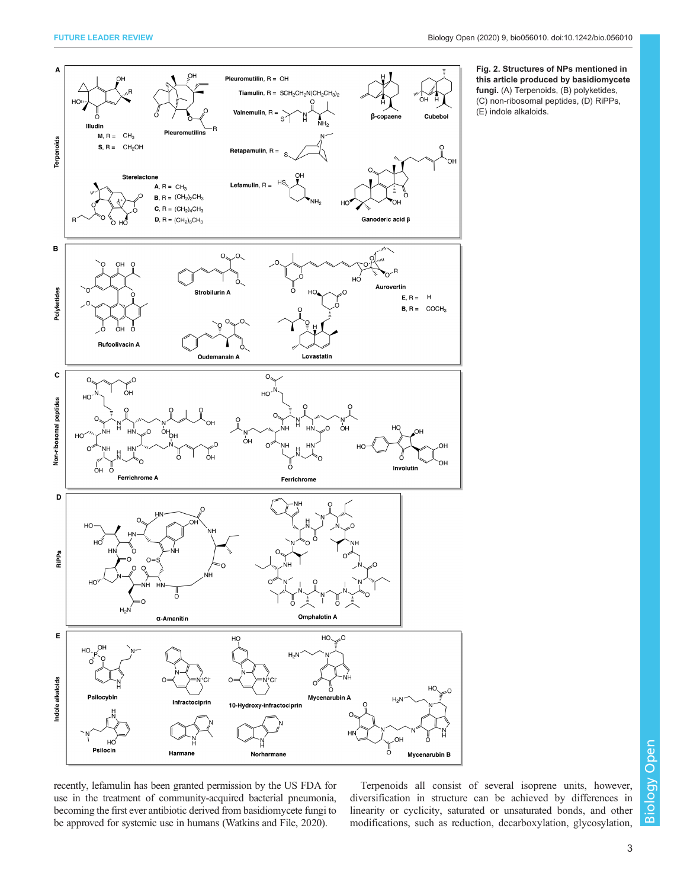<span id="page-2-0"></span>

Fig. 2. Structures of NPs mentioned in this article produced by basidiomycete fungi. (A) Terpenoids, (B) polyketides, (C) non-ribosomal peptides, (D) RiPPs, (E) indole alkaloids.

recently, lefamulin has been granted permission by the US FDA for use in the treatment of community-acquired bacterial pneumonia, becoming the first ever antibiotic derived from basidiomycete fungi to be approved for systemic use in humans [\(Watkins and File, 2020\)](#page-10-0).

Terpenoids all consist of several isoprene units, however, diversification in structure can be achieved by differences in linearity or cyclicity, saturated or unsaturated bonds, and other modifications, such as reduction, decarboxylation, glycosylation,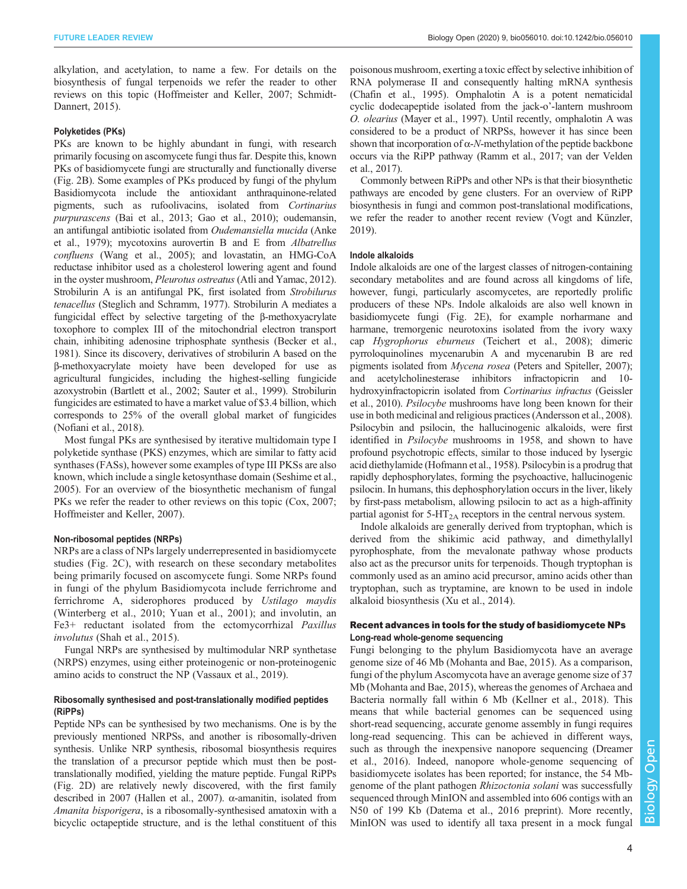alkylation, and acetylation, to name a few. For details on the biosynthesis of fungal terpenoids we refer the reader to other reviews on this topic ([Hoffmeister and Keller, 2007](#page-9-0); [Schmidt-](#page-10-0)[Dannert, 2015](#page-10-0)).

## Polyketides (PKs)

PKs are known to be highly abundant in fungi, with research primarily focusing on ascomycete fungi thus far. Despite this, known PKs of basidiomycete fungi are structurally and functionally diverse [\(Fig. 2B](#page-2-0)). Some examples of PKs produced by fungi of the phylum Basidiomycota include the antioxidant anthraquinone-related pigments, such as rufoolivacins, isolated from Cortinarius purpurascens [\(Bai et al., 2013](#page-8-0); [Gao et al., 2010\)](#page-9-0); oudemansin, an antifungal antibiotic isolated from Oudemansiella mucida [\(Anke](#page-8-0) [et al., 1979\)](#page-8-0); mycotoxins aurovertin B and E from Albatrellus confluens [\(Wang et al., 2005\)](#page-10-0); and lovastatin, an HMG-CoA reductase inhibitor used as a cholesterol lowering agent and found in the oyster mushroom, Pleurotus ostreatus [\(Atli and Yamac, 2012\)](#page-8-0). Strobilurin A is an antifungal PK, first isolated from Strobilurus tenacellus [\(Steglich and Schramm, 1977\)](#page-10-0). Strobilurin A mediates a fungicidal effect by selective targeting of the β-methoxyacrylate toxophore to complex III of the mitochondrial electron transport chain, inhibiting adenosine triphosphate synthesis [\(Becker et al.,](#page-8-0) [1981\)](#page-8-0). Since its discovery, derivatives of strobilurin A based on the β-methoxyacrylate moiety have been developed for use as agricultural fungicides, including the highest-selling fungicide azoxystrobin ([Bartlett et al., 2002;](#page-8-0) [Sauter et al., 1999\)](#page-10-0). Strobilurin fungicides are estimated to have a market value of \$3.4 billion, which corresponds to 25% of the overall global market of fungicides [\(Nofiani et al., 2018](#page-10-0)).

Most fungal PKs are synthesised by iterative multidomain type I polyketide synthase (PKS) enzymes, which are similar to fatty acid synthases (FASs), however some examples of type III PKSs are also known, which include a single ketosynthase domain [\(Seshime et al.,](#page-10-0) [2005](#page-10-0)). For an overview of the biosynthetic mechanism of fungal PKs we refer the reader to other reviews on this topic ([Cox, 2007](#page-9-0); [Hoffmeister and Keller, 2007](#page-9-0)).

## Non-ribosomal peptides (NRPs)

NRPs are a class of NPs largely underrepresented in basidiomycete studies [\(Fig. 2](#page-2-0)C), with research on these secondary metabolites being primarily focused on ascomycete fungi. Some NRPs found in fungi of the phylum Basidiomycota include ferrichrome and ferrichrome A, siderophores produced by Ustilago maydis [\(Winterberg et al., 2010;](#page-11-0) Yuan et [al., 2001](#page-11-0)); and involutin, an Fe3+ reductant isolated from the ectomycorrhizal Paxillus involutus ([Shah et al., 2015\)](#page-10-0).

Fungal NRPs are synthesised by multimodular NRP synthetase (NRPS) enzymes, using either proteinogenic or non-proteinogenic amino acids to construct the NP ([Vassaux et al., 2019\)](#page-10-0).

## Ribosomally synthesised and post-translationally modified peptides (RiPPs)

Peptide NPs can be synthesised by two mechanisms. One is by the previously mentioned NRPSs, and another is ribosomally-driven synthesis. Unlike NRP synthesis, ribosomal biosynthesis requires the translation of a precursor peptide which must then be posttranslationally modified, yielding the mature peptide. Fungal RiPPs [\(Fig. 2](#page-2-0)D) are relatively newly discovered, with the first family described in 2007 [\(Hallen et al., 2007\)](#page-9-0). α-amanitin, isolated from Amanita bisporigera, is a ribosomally-synthesised amatoxin with a bicyclic octapeptide structure, and is the lethal constituent of this

poisonous mushroom, exerting a toxic effect by selective inhibition of RNA polymerase II and consequently halting mRNA synthesis [\(Chafin et al., 1995\)](#page-9-0). Omphalotin A is a potent nematicidal cyclic dodecapeptide isolated from the jack-o'-lantern mushroom O. olearius ([Mayer et al., 1997\)](#page-9-0). Until recently, omphalotin A was considered to be a product of NRPSs, however it has since been shown that incorporation of  $\alpha$ -N-methylation of the peptide backbone occurs via the RiPP pathway [\(Ramm et al., 2017; van der Velden](#page-10-0) [et al., 2017\)](#page-10-0).

Commonly between RiPPs and other NPs is that their biosynthetic pathways are encoded by gene clusters. For an overview of RiPP biosynthesis in fungi and common post-translational modifications, we refer the reader to another recent review ([Vogt and Künzler,](#page-10-0) [2019\)](#page-10-0).

#### Indole alkaloids

Indole alkaloids are one of the largest classes of nitrogen-containing secondary metabolites and are found across all kingdoms of life, however, fungi, particularly ascomycetes, are reportedly prolific producers of these NPs. Indole alkaloids are also well known in basidiomycete fungi [\(Fig. 2](#page-2-0)E), for example norharmane and harmane, tremorgenic neurotoxins isolated from the ivory waxy cap Hygrophorus eburneus ([Teichert et al., 2008\)](#page-10-0); dimeric pyrroloquinolines mycenarubin A and mycenarubin B are red pigments isolated from Mycena rosea [\(Peters and Spiteller, 2007](#page-10-0)); and acetylcholinesterase inhibitors infractopicrin and 10 hydroxyinfractopicrin isolated from Cortinarius infractus [\(Geissler](#page-9-0) [et al., 2010\)](#page-9-0). Psilocybe mushrooms have long been known for their use in both medicinal and religious practices [\(Andersson et al., 2008\)](#page-8-0). Psilocybin and psilocin, the hallucinogenic alkaloids, were first identified in Psilocybe mushrooms in 1958, and shown to have profound psychotropic effects, similar to those induced by lysergic acid diethylamide ([Hofmann et al., 1958](#page-9-0)). Psilocybin is a prodrug that rapidly dephosphorylates, forming the psychoactive, hallucinogenic psilocin. In humans, this dephosphorylation occurs in the liver, likely by first-pass metabolism, allowing psilocin to act as a high-affinity partial agonist for  $5-HT<sub>2A</sub>$  receptors in the central nervous system.

Indole alkaloids are generally derived from tryptophan, which is derived from the shikimic acid pathway, and dimethylallyl pyrophosphate, from the mevalonate pathway whose products also act as the precursor units for terpenoids. Though tryptophan is commonly used as an amino acid precursor, amino acids other than tryptophan, such as tryptamine, are known to be used in indole alkaloid biosynthesis [\(Xu et al., 2014](#page-11-0)).

## Recent advances in tools for the study of basidiomycete NPs Long-read whole-genome sequencing

Fungi belonging to the phylum Basidiomycota have an average genome size of 46 Mb [\(Mohanta and Bae, 2015](#page-10-0)). As a comparison, fungi of the phylum Ascomycota have an average genome size of 37 Mb [\(Mohanta and Bae, 2015](#page-10-0)), whereas the genomes of Archaea and Bacteria normally fall within 6 Mb ([Kellner et al., 2018\)](#page-9-0). This means that while bacterial genomes can be sequenced using short-read sequencing, accurate genome assembly in fungi requires long-read sequencing. This can be achieved in different ways, such as through the inexpensive nanopore sequencing [\(Dreamer](#page-9-0) [et al., 2016\)](#page-9-0). Indeed, nanopore whole-genome sequencing of basidiomycete isolates has been reported; for instance, the 54 Mbgenome of the plant pathogen Rhizoctonia solani was successfully sequenced through MinION and assembled into 606 contigs with an N50 of 199 Kb [\(Datema et al., 2016](#page-9-0) preprint). More recently, MinION was used to identify all taxa present in a mock fungal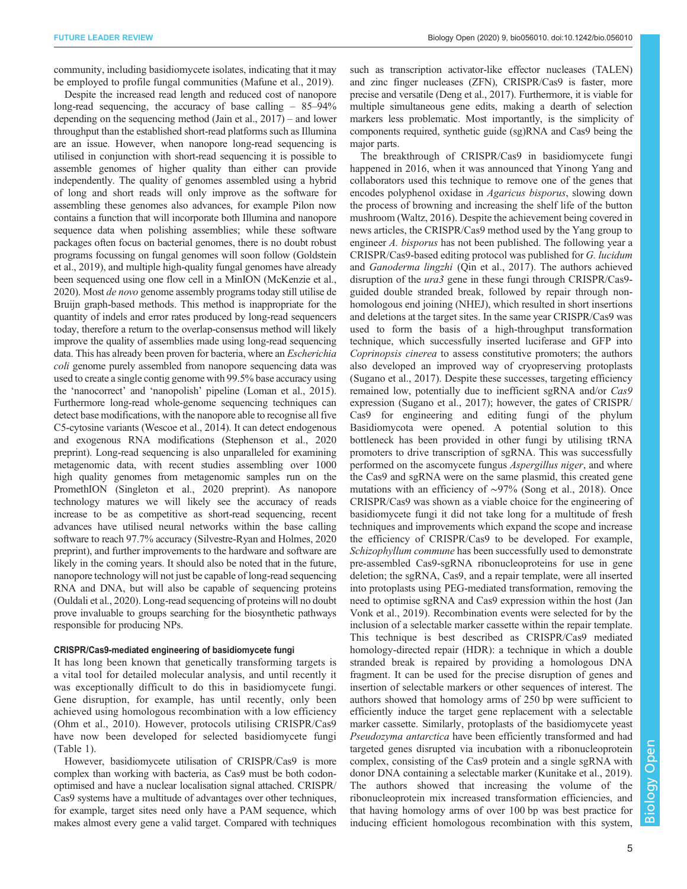community, including basidiomycete isolates, indicating that it may be employed to profile fungal communities ([Mafune et al., 2019](#page-9-0)).

Despite the increased read length and reduced cost of nanopore long-read sequencing, the accuracy of base calling – 85–94% depending on the sequencing method [\(Jain et al., 2017\)](#page-9-0) – and lower throughput than the established short-read platforms such as Illumina are an issue. However, when nanopore long-read sequencing is utilised in conjunction with short-read sequencing it is possible to assemble genomes of higher quality than either can provide independently. The quality of genomes assembled using a hybrid of long and short reads will only improve as the software for assembling these genomes also advances, for example Pilon now contains a function that will incorporate both Illumina and nanopore sequence data when polishing assemblies; while these software packages often focus on bacterial genomes, there is no doubt robust programs focussing on fungal genomes will soon follow [\(Goldstein](#page-9-0) [et al., 2019](#page-9-0)), and multiple high-quality fungal genomes have already been sequenced using one flow cell in a MinION [\(McKenzie et al.,](#page-9-0) [2020\)](#page-9-0). Most de novo genome assembly programs today still utilise de Bruijn graph-based methods. This method is inappropriate for the quantity of indels and error rates produced by long-read sequencers today, therefore a return to the overlap-consensus method will likely improve the quality of assemblies made using long-read sequencing data. This has already been proven for bacteria, where an Escherichia coli genome purely assembled from nanopore sequencing data was used to create a single contig genome with 99.5% base accuracy using the 'nanocorrect' and 'nanopolish' pipeline [\(Loman et al., 2015\)](#page-9-0). Furthermore long-read whole-genome sequencing techniques can detect base modifications, with the nanopore able to recognise all five C5-cytosine variants [\(Wescoe et al., 2014](#page-11-0)). It can detect endogenous and exogenous RNA modifications ([Stephenson et al., 2020](#page-10-0) preprint). Long-read sequencing is also unparalleled for examining metagenomic data, with recent studies assembling over 1000 high quality genomes from metagenomic samples run on the PromethION ([Singleton et al., 2020](#page-10-0) preprint). As nanopore technology matures we will likely see the accuracy of reads increase to be as competitive as short-read sequencing, recent advances have utilised neural networks within the base calling software to reach 97.7% accuracy [\(Silvestre-Ryan and Holmes, 2020](#page-10-0) preprint), and further improvements to the hardware and software are likely in the coming years. It should also be noted that in the future, nanopore technology will not just be capable of long-read sequencing RNA and DNA, but will also be capable of sequencing proteins [\(Ouldali et al., 2020](#page-10-0)). Long-read sequencing of proteins will no doubt prove invaluable to groups searching for the biosynthetic pathways responsible for producing NPs.

## CRISPR/Cas9-mediated engineering of basidiomycete fungi

It has long been known that genetically transforming targets is a vital tool for detailed molecular analysis, and until recently it was exceptionally difficult to do this in basidiomycete fungi. Gene disruption, for example, has until recently, only been achieved using homologous recombination with a low efficiency [\(Ohm et al., 2010\)](#page-10-0). However, protocols utilising CRISPR/Cas9 have now been developed for selected basidiomycete fungi [\(Table 1](#page-5-0)).

However, basidiomycete utilisation of CRISPR/Cas9 is more complex than working with bacteria, as Cas9 must be both codonoptimised and have a nuclear localisation signal attached. CRISPR/ Cas9 systems have a multitude of advantages over other techniques, for example, target sites need only have a PAM sequence, which makes almost every gene a valid target. Compared with techniques

such as transcription activator-like effector nucleases (TALEN) and zinc finger nucleases (ZFN), CRISPR/Cas9 is faster, more precise and versatile ([Deng et al., 2017](#page-9-0)). Furthermore, it is viable for multiple simultaneous gene edits, making a dearth of selection markers less problematic. Most importantly, is the simplicity of components required, synthetic guide (sg)RNA and Cas9 being the major parts.

The breakthrough of CRISPR/Cas9 in basidiomycete fungi happened in 2016, when it was announced that Yinong Yang and collaborators used this technique to remove one of the genes that encodes polyphenol oxidase in Agaricus bisporus, slowing down the process of browning and increasing the shelf life of the button mushroom [\(Waltz, 2016](#page-10-0)). Despite the achievement being covered in news articles, the CRISPR/Cas9 method used by the Yang group to engineer A. bisporus has not been published. The following year a CRISPR/Cas9-based editing protocol was published for G. lucidum and Ganoderma lingzhi ([Qin et al., 2017\)](#page-10-0). The authors achieved disruption of the *ura3* gene in these fungi through CRISPR/Cas9guided double stranded break, followed by repair through nonhomologous end joining (NHEJ), which resulted in short insertions and deletions at the target sites. In the same year CRISPR/Cas9 was used to form the basis of a high-throughput transformation technique, which successfully inserted luciferase and GFP into Coprinopsis cinerea to assess constitutive promoters; the authors also developed an improved way of cryopreserving protoplasts [\(Sugano et al., 2017](#page-10-0)). Despite these successes, targeting efficiency remained low, potentially due to inefficient sgRNA and/or Cas9 expression [\(Sugano et al., 2017\)](#page-10-0); however, the gates of CRISPR/ Cas9 for engineering and editing fungi of the phylum Basidiomycota were opened. A potential solution to this bottleneck has been provided in other fungi by utilising tRNA promoters to drive transcription of sgRNA. This was successfully performed on the ascomycete fungus Aspergillus niger, and where the Cas9 and sgRNA were on the same plasmid, this created gene mutations with an efficiency of ∼97% ([Song et al., 2018](#page-10-0)). Once CRISPR/Cas9 was shown as a viable choice for the engineering of basidiomycete fungi it did not take long for a multitude of fresh techniques and improvements which expand the scope and increase the efficiency of CRISPR/Cas9 to be developed. For example, Schizophyllum commune has been successfully used to demonstrate pre-assembled Cas9-sgRNA ribonucleoproteins for use in gene deletion; the sgRNA, Cas9, and a repair template, were all inserted into protoplasts using PEG-mediated transformation, removing the need to optimise sgRNA and Cas9 expression within the host [\(Jan](#page-9-0) [Vonk et al., 2019](#page-9-0)). Recombination events were selected for by the inclusion of a selectable marker cassette within the repair template. This technique is best described as CRISPR/Cas9 mediated homology-directed repair (HDR): a technique in which a double stranded break is repaired by providing a homologous DNA fragment. It can be used for the precise disruption of genes and insertion of selectable markers or other sequences of interest. The authors showed that homology arms of 250 bp were sufficient to efficiently induce the target gene replacement with a selectable marker cassette. Similarly, protoplasts of the basidiomycete yeast Pseudozyma antarctica have been efficiently transformed and had targeted genes disrupted via incubation with a ribonucleoprotein complex, consisting of the Cas9 protein and a single sgRNA with donor DNA containing a selectable marker ([Kunitake et al., 2019\)](#page-9-0). The authors showed that increasing the volume of the ribonucleoprotein mix increased transformation efficiencies, and that having homology arms of over 100 bp was best practice for inducing efficient homologous recombination with this system,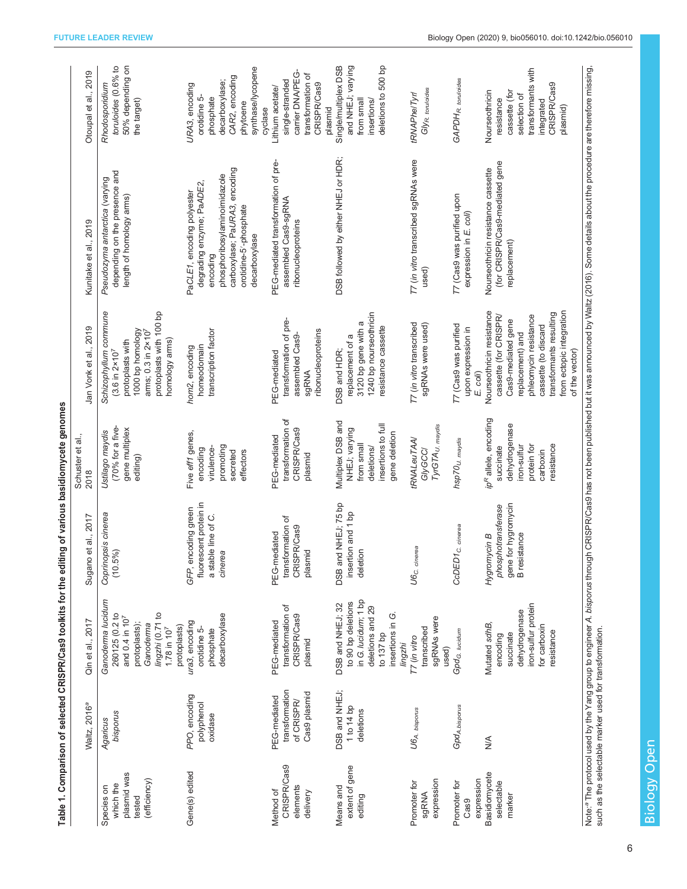<span id="page-5-0"></span>

|                                                                  |                                                              |                                                                                                                                                       | Table 1. Comparison of selected CRISPR/Cas9 toolkits for the editing of various basidiomycete genomes |                                                                                                       |                                                                                                                                                                                  |                                                                                                                                                                                 |                                                                                                                   |
|------------------------------------------------------------------|--------------------------------------------------------------|-------------------------------------------------------------------------------------------------------------------------------------------------------|-------------------------------------------------------------------------------------------------------|-------------------------------------------------------------------------------------------------------|----------------------------------------------------------------------------------------------------------------------------------------------------------------------------------|---------------------------------------------------------------------------------------------------------------------------------------------------------------------------------|-------------------------------------------------------------------------------------------------------------------|
|                                                                  | Waltz, 2016 <sup>ª</sup>                                     | Qin et al., 2017                                                                                                                                      | Sugano et al., 2017                                                                                   | Schuster et al.,<br>2018                                                                              | Jan Vonk et al., 2019                                                                                                                                                            | Kunitake et al., 2019                                                                                                                                                           | Otoupal et al., 2019                                                                                              |
| plasmid was<br>(efficiency)<br>which the<br>Species on<br>tested | bisporus<br>Agaricus                                         | Ganoderma lucidum<br>lingzhi (0.71 to<br>260125 (0.2 to<br>and 0.4 in 10 <sup>7</sup><br>protoplasts);<br>Ganoderma<br>protoplasts)<br>1.78 in $10^7$ | Coprinopsis cinerea<br>$(10.5\%)$                                                                     | $(70%$ for a five-<br>gene multiplex<br>Ustilago maydis<br>editing)                                   | Schizophyllum commune<br>protoplasts with 100 bp<br>1000 bp homology<br>arms; $0.3$ in $2 \times 10^7$<br>homology arms)<br>protoplasts with<br>$(3.6 \text{ in } 2 \times 10^7$ | depending on the presence and<br>Pseudozyma antarctica (varying<br>length of homology arms)                                                                                     | toruloides (0.6% to<br>50% depending on<br>Rhodosporidium<br>the target)                                          |
| Gene(s) edited                                                   | PPO, encoding<br>polyphenol<br>oxidase                       | decarboxylase<br>ura3, encoding<br>orotidine 5-<br>phosphate                                                                                          | fluorescent protein in<br>encoding green<br>a stable line of C.<br>cinerea<br>GFP,                    | Five eff1 genes,<br>promoting<br>virulence-<br>encoding<br>secreted<br>effectors                      | transcription factor<br>homeodomain<br>hom2, encoding                                                                                                                            | carboxylase; PaURA3, encoding<br>phosphoribosylaminoimidazole<br>degrading enzyme; PaADE2,<br>PaCLE1, encoding polyester<br>orotidine-5'-phosphate<br>decarboxylase<br>encoding | synthase/lycopene<br>CAR2, encoding<br>decarboxylase;<br>URA3, encoding<br>orotidine 5-<br>phosphate<br>phytoene  |
| CRISPR/Cas9<br>elements<br>Method of<br>delivery                 | transformation<br>Cas9 plasmid<br>PEG-mediated<br>of CRISPR/ | transformation of<br>CRISPR/Cas9<br>PEG-mediated<br>plasmid                                                                                           | transformation of<br>CRISPR/Cas9<br>PEG-mediated<br>plasmid                                           | transformation of<br>CRISPR/Cas9<br>PEG-mediated<br>plasmid                                           | transformation of pre-<br>ribonucleoproteins<br>assembled Cas9-<br>PEG-mediated<br>sgRNA                                                                                         | PEG-mediated transformation of pre-<br>assembled Cas9-sgRNA<br>ribonucleoproteins                                                                                               | carrier DNA/PEG-<br>transformation of<br>single-stranded<br>CRISPR/Cas9<br>Lithium acetate/<br>plasmid<br>cyclase |
| extent of gene<br>Means and<br>editing                           | DSB and NHEJ;<br>1 to 14 bp<br>deletions                     | in G. lucidum; 1 bp<br>to 90 bp deletions<br>DSB and NHEJ; 32<br>deletions and 29<br>insertions in G.<br>to 137 bp                                    | DSB and NHEJ; 75 bp<br>insertion and 1 bp<br>deletion                                                 | Multiplex DSB and<br>insertions to full<br>NHEJ; varying<br>gene deletion<br>from small<br>deletions/ | 1240 bp nourseothricin<br>3120 bp gene with a<br>resistance cassette<br>replacement of a<br>DSB and HDR;                                                                         | DSB followed by either NHEJ or HDR;                                                                                                                                             | deletions to 500 bp<br>Single/multiplex DSB<br>and NHEJ; varying<br>from small<br>insertions/                     |
| expression<br>Promoter for<br>sgRNA                              | U6 <sub>A.</sub> bisporus                                    | sgRNAs were<br>transcribed<br>T7 (in vitro<br>lingzhi<br>used)                                                                                        | cinerea<br>$U6_{C.}$                                                                                  | TyrGTA <sub>U. maydis</sub><br>tRNALeuTAA/<br>GlyGCC/                                                 | T7 (in vitro transcribed<br>sgRNAs were used)                                                                                                                                    | T7 (in vitro transcribed sgRNAs were<br>used)                                                                                                                                   | Gly <sub>R. toruloides</sub><br>tRNAPhe/Tyr/                                                                      |
| expression<br>Promoter for<br>Cas9                               | Gpd <sub>A.bisporus</sub>                                    | Gpd <sub>G. Iucidum</sub>                                                                                                                             | $\texttt{CoDED1}_\texttt{C. cinerea}$                                                                 | hsp70 <sub>U. maydis</sub>                                                                            | T7 (Cas9 was purified<br>upon expression in<br>E. coli)                                                                                                                          | T7 (Cas9 was purified upon<br>expression in E. coli)                                                                                                                            | GAPDH <sub>R. toruloides</sub>                                                                                    |
| Basidiomycete<br>selectable<br>marker                            | $\frac{4}{2}$                                                | iron-sulfur protein<br>dehydrogenase<br>Mutated sahB,<br>for carboxin<br>succinate<br>encoding                                                        | gene for hygromycin<br>B resistance<br>phosphotransferase<br>Hygromycin B                             | ipRallele, encoding<br>dehydrogenase<br>protein for<br>iron-sulfur<br>succinate<br>carboxin           | Nourseothricin resistance<br>phleomycin resistance<br>cassette (for CRISPR/<br>Cas9-mediated gene<br>cassette (to discard<br>replacement) and                                    | (for CRISPR/Cas9-mediated gene<br>Nourseothricin resistance cassette<br>replacement)                                                                                            | transformants with<br>Nourseothricin<br>cassette (for<br>selection of<br>resistance<br>integrated                 |

É <u>ي</u> J. Ŕ É Ŕ Á i.<br>S R  $\ddot{\cdot}$ J. Ñ J,  $\ddot{\cdot}$  $\overline{\phantom{a}}$  Note:<sup>a</sup> The protocol used by the Yang group to engineer A. *bisporus* through CRISPR/Cas9 has not been published but it was announced by Waltz (2016). Some details about the procedure are therefore missing,<br>such as the se Note:a The protocol used by the Yang group to engineer A. bisporus through CRISPR/Cas9 has not been published but it was announced by Waltz [\(2016\)](#page-10-0). Some details about the procedure are therefore missing, such as the selectable marker used for transformation.

resistance

resistance

cassette (to discard transformants resulting from ectopic integration of the vector)

transformants resulting<br>from ectopic integration

of the vector)

for carboxin resistance

resistance

integrated plasmid) CRISPR/Cas9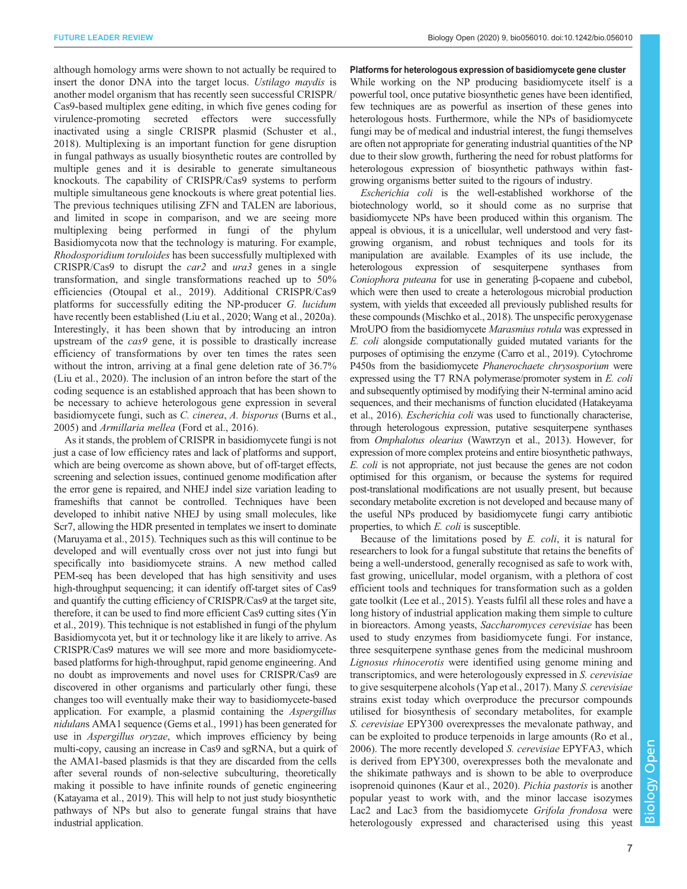although homology arms were shown to not actually be required to insert the donor DNA into the target locus. Ustilago maydis is another model organism that has recently seen successful CRISPR/ Cas9-based multiplex gene editing, in which five genes coding for virulence-promoting secreted effectors were successfully inactivated using a single CRISPR plasmid ([Schuster et al.,](#page-10-0) [2018](#page-10-0)). Multiplexing is an important function for gene disruption in fungal pathways as usually biosynthetic routes are controlled by multiple genes and it is desirable to generate simultaneous knockouts. The capability of CRISPR/Cas9 systems to perform multiple simultaneous gene knockouts is where great potential lies. The previous techniques utilising ZFN and TALEN are laborious, and limited in scope in comparison, and we are seeing more multiplexing being performed in fungi of the phylum Basidiomycota now that the technology is maturing. For example, Rhodosporidium toruloides has been successfully multiplexed with CRISPR/Cas9 to disrupt the car2 and ura3 genes in a single transformation, and single transformations reached up to 50% efficiencies ([Otoupal et al., 2019](#page-10-0)). Additional CRISPR/Cas9 platforms for successfully editing the NP-producer G. lucidum have recently been established [\(Liu et al., 2020](#page-9-0); [Wang et al., 2020a\)](#page-10-0). Interestingly, it has been shown that by introducing an intron upstream of the cas9 gene, it is possible to drastically increase efficiency of transformations by over ten times the rates seen without the intron, arriving at a final gene deletion rate of 36.7% [\(Liu et al., 2020](#page-9-0)). The inclusion of an intron before the start of the coding sequence is an established approach that has been shown to be necessary to achieve heterologous gene expression in several basidiomycete fungi, such as C. cinerea, A. bisporus ([Burns et al.,](#page-8-0) [2005](#page-8-0)) and Armillaria mellea [\(Ford et al., 2016](#page-9-0)).

As it stands, the problem of CRISPR in basidiomycete fungi is not just a case of low efficiency rates and lack of platforms and support, which are being overcome as shown above, but of off-target effects, screening and selection issues, continued genome modification after the error gene is repaired, and NHEJ indel size variation leading to frameshifts that cannot be controlled. Techniques have been developed to inhibit native NHEJ by using small molecules, like Scr7, allowing the HDR presented in templates we insert to dominate [\(Maruyama et al., 2015](#page-9-0)). Techniques such as this will continue to be developed and will eventually cross over not just into fungi but specifically into basidiomycete strains. A new method called PEM-seq has been developed that has high sensitivity and uses high-throughput sequencing; it can identify off-target sites of Cas9 and quantify the cutting efficiency of CRISPR/Cas9 at the target site, therefore, it can be used to find more efficient Cas9 cutting sites [\(Yin](#page-11-0) [et al., 2019\)](#page-11-0). This technique is not established in fungi of the phylum Basidiomycota yet, but it or technology like it are likely to arrive. As CRISPR/Cas9 matures we will see more and more basidiomycetebased platforms for high-throughput, rapid genome engineering. And no doubt as improvements and novel uses for CRISPR/Cas9 are discovered in other organisms and particularly other fungi, these changes too will eventually make their way to basidiomycete-based application. For example, a plasmid containing the Aspergillus nidulans AMA1 sequence [\(Gems et al., 1991](#page-9-0)) has been generated for use in *Aspergillus oryzae*, which improves efficiency by being multi-copy, causing an increase in Cas9 and sgRNA, but a quirk of the AMA1-based plasmids is that they are discarded from the cells after several rounds of non-selective subculturing, theoretically making it possible to have infinite rounds of genetic engineering [\(Katayama et al., 2019\)](#page-9-0). This will help to not just study biosynthetic pathways of NPs but also to generate fungal strains that have industrial application.

Platforms for heterologous expression of basidiomycete gene cluster While working on the NP producing basidiomycete itself is a powerful tool, once putative biosynthetic genes have been identified, few techniques are as powerful as insertion of these genes into heterologous hosts. Furthermore, while the NPs of basidiomycete fungi may be of medical and industrial interest, the fungi themselves are often not appropriate for generating industrial quantities of the NP due to their slow growth, furthering the need for robust platforms for heterologous expression of biosynthetic pathways within fastgrowing organisms better suited to the rigours of industry.

Escherichia coli is the well-established workhorse of the biotechnology world, so it should come as no surprise that basidiomycete NPs have been produced within this organism. The appeal is obvious, it is a unicellular, well understood and very fastgrowing organism, and robust techniques and tools for its manipulation are available. Examples of its use include, the heterologous expression of sesquiterpene synthases from Coniophora puteana for use in generating β-copaene and cubebol, which were then used to create a heterologous microbial production system, with yields that exceeded all previously published results for these compounds [\(Mischko et al., 2018](#page-10-0)). The unspecific peroxygenase MroUPO from the basidiomycete Marasmius rotula was expressed in E. coli alongside computationally guided mutated variants for the purposes of optimising the enzyme ([Carro et al., 2019](#page-8-0)). Cytochrome P450s from the basidiomycete Phanerochaete chrysosporium were expressed using the T7 RNA polymerase/promoter system in E. coli and subsequently optimised by modifying their N-terminal amino acid sequences, and their mechanisms of function elucidated [\(Hatakeyama](#page-9-0) [et al., 2016](#page-9-0)). Escherichia coli was used to functionally characterise, through heterologous expression, putative sesquiterpene synthases from Omphalotus olearius [\(Wawrzyn et al., 2013](#page-10-0)). However, for expression of more complex proteins and entire biosynthetic pathways, E. coli is not appropriate, not just because the genes are not codon optimised for this organism, or because the systems for required post-translational modifications are not usually present, but because secondary metabolite excretion is not developed and because many of the useful NPs produced by basidiomycete fungi carry antibiotic properties, to which E. coli is susceptible.

Because of the limitations posed by  $E$ . *coli*, it is natural for researchers to look for a fungal substitute that retains the benefits of being a well-understood, generally recognised as safe to work with, fast growing, unicellular, model organism, with a plethora of cost efficient tools and techniques for transformation such as a golden gate toolkit ([Lee et al., 2015](#page-9-0)). Yeasts fulfil all these roles and have a long history of industrial application making them simple to culture in bioreactors. Among yeasts, Saccharomyces cerevisiae has been used to study enzymes from basidiomycete fungi. For instance, three sesquiterpene synthase genes from the medicinal mushroom Lignosus rhinocerotis were identified using genome mining and transcriptomics, and were heterologously expressed in S. cerevisiae to give sesquiterpene alcohols [\(Yap et al., 2017](#page-11-0)). Many S. cerevisiae strains exist today which overproduce the precursor compounds utilised for biosynthesis of secondary metabolites, for example S. cerevisiae EPY300 overexpresses the mevalonate pathway, and can be exploited to produce terpenoids in large amounts ([Ro et al.,](#page-10-0) [2006\)](#page-10-0). The more recently developed S. cerevisiae EPYFA3, which is derived from EPY300, overexpresses both the mevalonate and the shikimate pathways and is shown to be able to overproduce isoprenoid quinones [\(Kaur et al., 2020](#page-9-0)). Pichia pastoris is another popular yeast to work with, and the minor laccase isozymes Lac2 and Lac3 from the basidiomycete Grifola frondosa were heterologously expressed and characterised using this yeast

Biology Open

Biology

Open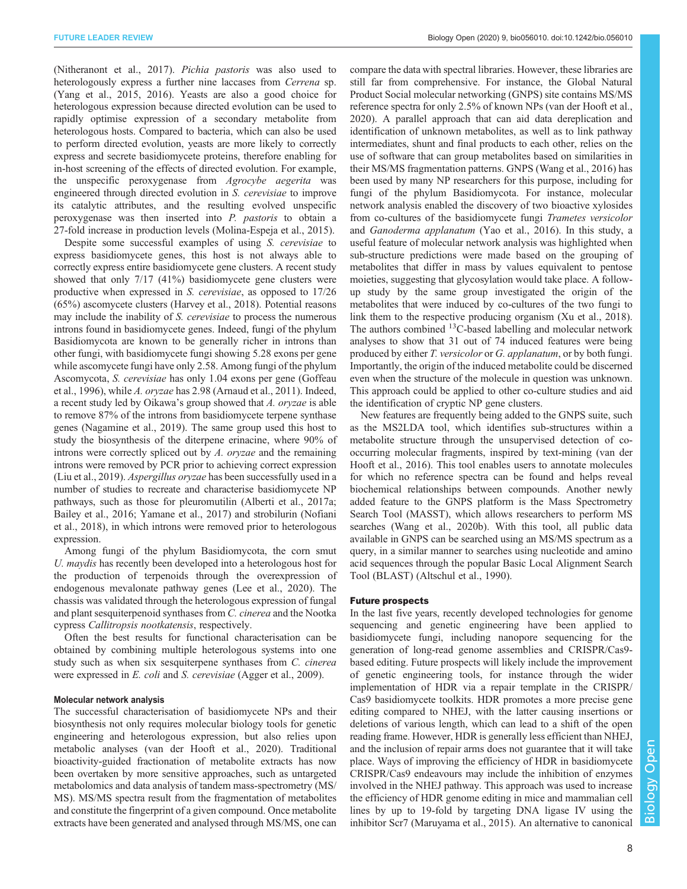[\(Nitheranont et al., 2017\)](#page-10-0). Pichia pastoris was also used to heterologously express a further nine laccases from *Cerrena* sp. [\(Yang et al., 2015, 2016\)](#page-11-0). Yeasts are also a good choice for heterologous expression because directed evolution can be used to rapidly optimise expression of a secondary metabolite from heterologous hosts. Compared to bacteria, which can also be used to perform directed evolution, yeasts are more likely to correctly express and secrete basidiomycete proteins, therefore enabling for in-host screening of the effects of directed evolution. For example, the unspecific peroxygenase from Agrocybe aegerita was engineered through directed evolution in S. cerevisiae to improve its catalytic attributes, and the resulting evolved unspecific peroxygenase was then inserted into P. pastoris to obtain a 27-fold increase in production levels [\(Molina-Espeja et al., 2015](#page-10-0)).

Despite some successful examples of using S. cerevisiae to express basidiomycete genes, this host is not always able to correctly express entire basidiomycete gene clusters. A recent study showed that only 7/17 (41%) basidiomycete gene clusters were productive when expressed in S. cerevisiae, as opposed to 17/26 (65%) ascomycete clusters [\(Harvey et al., 2018\)](#page-9-0). Potential reasons may include the inability of S. *cerevisiae* to process the numerous introns found in basidiomycete genes. Indeed, fungi of the phylum Basidiomycota are known to be generally richer in introns than other fungi, with basidiomycete fungi showing 5.28 exons per gene while ascomycete fungi have only 2.58. Among fungi of the phylum Ascomycota, S. cerevisiae has only 1.04 exons per gene [\(Goffeau](#page-9-0) [et al., 1996](#page-9-0)), while A. oryzae has 2.98 ([Arnaud et al., 2011\)](#page-8-0). Indeed, a recent study led by Oikawa's group showed that A. oryzae is able to remove 87% of the introns from basidiomycete terpene synthase genes ([Nagamine et al., 2019\)](#page-10-0). The same group used this host to study the biosynthesis of the diterpene erinacine, where 90% of introns were correctly spliced out by A. oryzae and the remaining introns were removed by PCR prior to achieving correct expression [\(Liu et al., 2019\)](#page-9-0). Aspergillus oryzae has been successfully used in a number of studies to recreate and characterise basidiomycete NP pathways, such as those for pleuromutilin ([Alberti et al., 2017a](#page-8-0); [Bailey et al., 2016](#page-8-0); [Yamane et al., 2017](#page-11-0)) and strobilurin [\(Nofiani](#page-10-0) [et al., 2018\)](#page-10-0), in which introns were removed prior to heterologous expression.

Among fungi of the phylum Basidiomycota, the corn smut U. maydis has recently been developed into a heterologous host for the production of terpenoids through the overexpression of endogenous mevalonate pathway genes ([Lee et al., 2020](#page-9-0)). The chassis was validated through the heterologous expression of fungal and plant sesquiterpenoid synthases from C. cinerea and the Nootka cypress Callitropsis nootkatensis, respectively.

Often the best results for functional characterisation can be obtained by combining multiple heterologous systems into one study such as when six sesquiterpene synthases from C. cinerea were expressed in E. coli and S. cerevisiae [\(Agger et al., 2009\)](#page-8-0).

#### Molecular network analysis

The successful characterisation of basidiomycete NPs and their biosynthesis not only requires molecular biology tools for genetic engineering and heterologous expression, but also relies upon metabolic analyses ([van der Hooft et al., 2020](#page-10-0)). Traditional bioactivity-guided fractionation of metabolite extracts has now been overtaken by more sensitive approaches, such as untargeted metabolomics and data analysis of tandem mass-spectrometry (MS/ MS). MS/MS spectra result from the fragmentation of metabolites and constitute the fingerprint of a given compound. Once metabolite extracts have been generated and analysed through MS/MS, one can

compare the data with spectral libraries. However, these libraries are still far from comprehensive. For instance, the Global Natural Product Social molecular networking (GNPS) site contains MS/MS reference spectra for only 2.5% of known NPs [\(van der Hooft et al.,](#page-10-0) [2020\)](#page-10-0). A parallel approach that can aid data dereplication and identification of unknown metabolites, as well as to link pathway intermediates, shunt and final products to each other, relies on the use of software that can group metabolites based on similarities in their MS/MS fragmentation patterns. GNPS ([Wang et al., 2016](#page-10-0)) has been used by many NP researchers for this purpose, including for fungi of the phylum Basidiomycota. For instance, molecular network analysis enabled the discovery of two bioactive xylosides from co-cultures of the basidiomycete fungi Trametes versicolor and Ganoderma applanatum ([Yao et al., 2016](#page-11-0)). In this study, a useful feature of molecular network analysis was highlighted when sub-structure predictions were made based on the grouping of metabolites that differ in mass by values equivalent to pentose moieties, suggesting that glycosylation would take place. A followup study by the same group investigated the origin of the metabolites that were induced by co-cultures of the two fungi to link them to the respective producing organism [\(Xu et al., 2018\)](#page-11-0). The authors combined <sup>13</sup>C-based labelling and molecular network analyses to show that 31 out of 74 induced features were being produced by either T. versicolor or G. applanatum, or by both fungi. Importantly, the origin of the induced metabolite could be discerned even when the structure of the molecule in question was unknown. This approach could be applied to other co-culture studies and aid the identification of cryptic NP gene clusters.

New features are frequently being added to the GNPS suite, such as the MS2LDA tool, which identifies sub-structures within a metabolite structure through the unsupervised detection of cooccurring molecular fragments, inspired by text-mining ([van der](#page-10-0) [Hooft et al., 2016\)](#page-10-0). This tool enables users to annotate molecules for which no reference spectra can be found and helps reveal biochemical relationships between compounds. Another newly added feature to the GNPS platform is the Mass Spectrometry Search Tool (MASST), which allows researchers to perform MS searches ([Wang et al., 2020b\)](#page-10-0). With this tool, all public data available in GNPS can be searched using an MS/MS spectrum as a query, in a similar manner to searches using nucleotide and amino acid sequences through the popular Basic Local Alignment Search Tool (BLAST) [\(Altschul et al., 1990](#page-8-0)).

## Future prospects

In the last five years, recently developed technologies for genome sequencing and genetic engineering have been applied to basidiomycete fungi, including nanopore sequencing for the generation of long-read genome assemblies and CRISPR/Cas9 based editing. Future prospects will likely include the improvement of genetic engineering tools, for instance through the wider implementation of HDR via a repair template in the CRISPR/ Cas9 basidiomycete toolkits. HDR promotes a more precise gene editing compared to NHEJ, with the latter causing insertions or deletions of various length, which can lead to a shift of the open reading frame. However, HDR is generally less efficient than NHEJ, and the inclusion of repair arms does not guarantee that it will take place. Ways of improving the efficiency of HDR in basidiomycete CRISPR/Cas9 endeavours may include the inhibition of enzymes involved in the NHEJ pathway. This approach was used to increase the efficiency of HDR genome editing in mice and mammalian cell lines by up to 19-fold by targeting DNA ligase IV using the inhibitor Scr7 ([Maruyama et al., 2015\)](#page-9-0). An alternative to canonical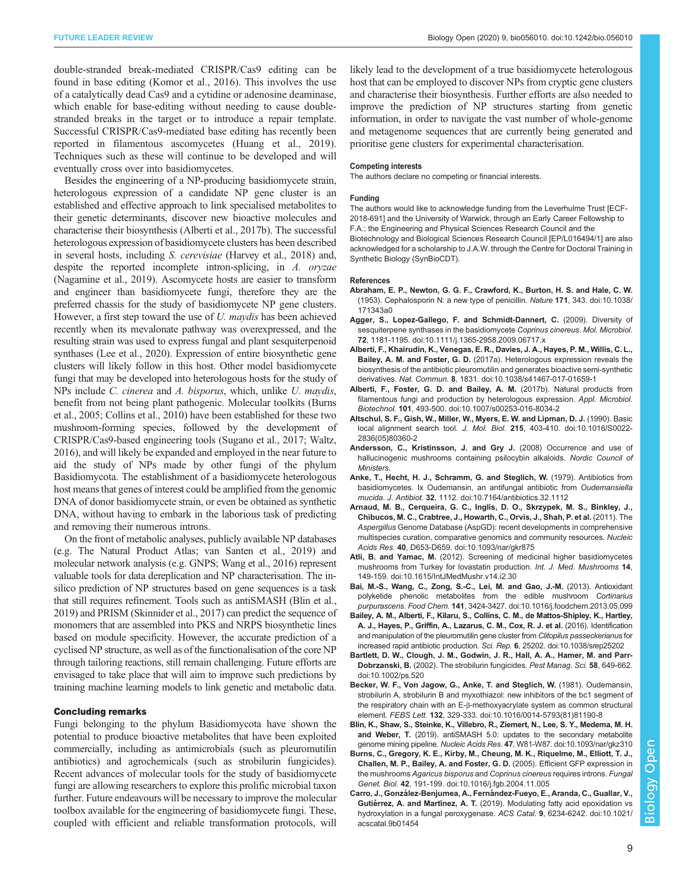<span id="page-8-0"></span>double-stranded break-mediated CRISPR/Cas9 editing can be found in base editing [\(Komor et al., 2016\)](#page-9-0). This involves the use of a catalytically dead Cas9 and a cytidine or adenosine deaminase, which enable for base-editing without needing to cause doublestranded breaks in the target or to introduce a repair template. Successful CRISPR/Cas9-mediated base editing has recently been reported in filamentous ascomycetes [\(Huang et al., 2019\)](#page-9-0). Techniques such as these will continue to be developed and will eventually cross over into basidiomycetes.

Besides the engineering of a NP-producing basidiomycete strain, heterologous expression of a candidate NP gene cluster is an established and effective approach to link specialised metabolites to their genetic determinants, discover new bioactive molecules and characterise their biosynthesis (Alberti et al., 2017b). The successful heterologous expression of basidiomycete clusters has been described in several hosts, including S. cerevisiae [\(Harvey et al., 2018\)](#page-9-0) and, despite the reported incomplete intron-splicing, in A. oryzae [\(Nagamine et al., 2019](#page-10-0)). Ascomycete hosts are easier to transform and engineer than basidiomycete fungi, therefore they are the preferred chassis for the study of basidiomycete NP gene clusters. However, a first step toward the use of U. *maydis* has been achieved recently when its mevalonate pathway was overexpressed, and the resulting strain was used to express fungal and plant sesquiterpenoid synthases [\(Lee et al., 2020](#page-9-0)). Expression of entire biosynthetic gene clusters will likely follow in this host. Other model basidiomycete fungi that may be developed into heterologous hosts for the study of NPs include C. cinerea and A. bisporus, which, unlike U. maydis, benefit from not being plant pathogenic. Molecular toolkits (Burns et al., 2005; [Collins et al., 2010](#page-9-0)) have been established for these two mushroom-forming species, followed by the development of CRISPR/Cas9-based engineering tools [\(Sugano et al., 2017; Waltz,](#page-10-0) [2016\)](#page-10-0), and will likely be expanded and employed in the near future to aid the study of NPs made by other fungi of the phylum Basidiomycota. The establishment of a basidiomycete heterologous host means that genes of interest could be amplified from the genomic DNA of donor basidiomycete strain, or even be obtained as synthetic DNA, without having to embark in the laborious task of predicting and removing their numerous introns.

On the front of metabolic analyses, publicly available NP databases (e.g. The Natural Product Atlas; [van Santen et al., 2019](#page-10-0)) and molecular network analysis (e.g. GNPS; [Wang et al., 2016\)](#page-10-0) represent valuable tools for data dereplication and NP characterisation. The insilico prediction of NP structures based on gene sequences is a task that still requires refinement. Tools such as antiSMASH (Blin et al., 2019) and PRISM ([Skinnider et al., 2017\)](#page-10-0) can predict the sequence of monomers that are assembled into PKS and NRPS biosynthetic lines based on module specificity. However, the accurate prediction of a cyclised NP structure, as well as of the functionalisation of the core NP through tailoring reactions, still remain challenging. Future efforts are envisaged to take place that will aim to improve such predictions by training machine learning models to link genetic and metabolic data.

### Concluding remarks

Fungi belonging to the phylum Basidiomycota have shown the potential to produce bioactive metabolites that have been exploited commercially, including as antimicrobials (such as pleuromutilin antibiotics) and agrochemicals (such as strobilurin fungicides). Recent advances of molecular tools for the study of basidiomycete fungi are allowing researchers to explore this prolific microbial taxon further. Future endeavours will be necessary to improve the molecular toolbox available for the engineering of basidiomycete fungi. These, coupled with efficient and reliable transformation protocols, will

likely lead to the development of a true basidiomycete heterologous host that can be employed to discover NPs from cryptic gene clusters and characterise their biosynthesis. Further efforts are also needed to improve the prediction of NP structures starting from genetic information, in order to navigate the vast number of whole-genome and metagenome sequences that are currently being generated and prioritise gene clusters for experimental characterisation.

#### Competing interests

Synthetic Biology (SynBioCDT).

The authors declare no competing or financial interests.

#### Funding

The authors would like to acknowledge funding from the Leverhulme Trust [ECF-2018-691] and the University of Warwick, through an Early Career Fellowship to F.A.; the Engineering and Physical Sciences Research Council and the Biotechnology and Biological Sciences Research Council [EP/L016494/1] are also acknowledged for a scholarship to J.A.W. through the Centre for Doctoral Training in

#### References

- [Abraham, E. P., Newton, G. G. F., Crawford, K., Burton, H. S. and Hale, C. W.](https://doi.org/10.1038/171343a0) [\(1953\). Cephalosporin N: a new type of penicillin.](https://doi.org/10.1038/171343a0) Nature 171, 343. doi:10.1038/ [171343a0](https://doi.org/10.1038/171343a0)
- [Agger, S., Lopez-Gallego, F. and Schmidt-Dannert, C.](https://doi.org/10.1111/j.1365-2958.2009.06717.x) (2009). Diversity of [sesquiterpene synthases in the basidiomycete](https://doi.org/10.1111/j.1365-2958.2009.06717.x) Coprinus cinereus. Mol. Microbiol. 72[, 1181-1195. doi:10.1111/j.1365-2958.2009.06717.x](https://doi.org/10.1111/j.1365-2958.2009.06717.x)
- [Alberti, F., Khairudin, K., Venegas, E. R., Davies, J. A., Hayes, P. M., Willis, C. L.,](https://doi.org/10.1038/s41467-017-01659-1) Bailey, A. M. and Foster, G. D. [\(2017a\). Heterologous expression reveals the](https://doi.org/10.1038/s41467-017-01659-1) [biosynthesis of the antibiotic pleuromutilin and generates bioactive semi-synthetic](https://doi.org/10.1038/s41467-017-01659-1) derivatives. Nat. Commun. 8[, 1831. doi:10.1038/s41467-017-01659-1](https://doi.org/10.1038/s41467-017-01659-1)
- [Alberti, F., Foster, G. D. and Bailey, A. M.](https://doi.org/10.1007/s00253-016-8034-2) (2017b). Natural products from [filamentous fungi and production by heterologous expression.](https://doi.org/10.1007/s00253-016-8034-2) Appl. Microbiol. Biotechnol. 101[, 493-500. doi:10.1007/s00253-016-8034-2](https://doi.org/10.1007/s00253-016-8034-2)
- [Altschul, S. F., Gish, W., Miller, W., Myers, E. W. and Lipman, D. J.](https://doi.org/10.1016/S0022-2836(05)80360-2) (1990). Basic local alignment search tool. J. Mol. Biol. 215[, 403-410. doi:10.1016/S0022-](https://doi.org/10.1016/S0022-2836(05)80360-2) [2836\(05\)80360-2](https://doi.org/10.1016/S0022-2836(05)80360-2)
- Andersson, C., Kristinsson, J. and Gry J. (2008) Occurrence and use of hallucinogenic mushrooms containing psilocybin alkaloids. Nordic Council of **Ministers.**
- [Anke, T., Hecht, H. J., Schramm, G. and Steglich, W.](https://doi.org/10.7164/antibiotics.32.1112) (1979). Antibiotics from [basidiomycetes. Ix Oudemansin, an antifungal antibiotic from](https://doi.org/10.7164/antibiotics.32.1112) Oudemansiella mucida. J. Antibiot. 32[, 1112. doi:10.7164/antibiotics.32.1112](https://doi.org/10.7164/antibiotics.32.1112)
- [Arnaud, M. B., Cerqueira, G. C., Inglis, D. O., Skrzypek, M. S., Binkley, J.,](https://doi.org/10.1093/nar/gkr875) [Chibucos, M. C., Crabtree, J., Howarth, C., Orvis, J., Shah, P. et al.](https://doi.org/10.1093/nar/gkr875) (2011). The Aspergillus [Genome Database \(AspGD\): recent developments in comprehensive](https://doi.org/10.1093/nar/gkr875) [multispecies curation, comparative genomics and community resources.](https://doi.org/10.1093/nar/gkr875) Nucleic Acids Res. 40[, D653-D659. doi:10.1093/nar/gkr875](https://doi.org/10.1093/nar/gkr875)
- Atli, B. and Yamac, M. [\(2012\). Screening of medicinal higher basidiomycetes](https://doi.org/10.1615/IntJMedMushr.v14.i2.30) [mushrooms from Turkey for lovastatin production.](https://doi.org/10.1615/IntJMedMushr.v14.i2.30) Int. J. Med. Mushrooms 14, [149-159. doi:10.1615/IntJMedMushr.v14.i2.30](https://doi.org/10.1615/IntJMedMushr.v14.i2.30)
- [Bai, M.-S., Wang, C., Zong, S.-C., Lei, M. and Gao, J.-M.](https://doi.org/10.1016/j.foodchem.2013.05.099) (2013). Antioxidant [polyketide phenolic metabolites from the edible mushroom](https://doi.org/10.1016/j.foodchem.2013.05.099) Cortinarius purpurascens. Food Chem. 141[, 3424-3427. doi:10.1016/j.foodchem.2013.05.099](https://doi.org/10.1016/j.foodchem.2013.05.099)
- [Bailey, A. M., Alberti, F., Kilaru, S., Collins, C. M., de Mattos-Shipley, K., Hartley,](https://doi.org/10.1038/srep25202) [A. J., Hayes, P., Griffin, A., Lazarus, C. M., Cox, R. J. et al.](https://doi.org/10.1038/srep25202) (2016). Identification [and manipulation of the pleuromutilin gene cluster from](https://doi.org/10.1038/srep25202) Clitopilus passeckerianus for [increased rapid antibiotic production.](https://doi.org/10.1038/srep25202) Sci. Rep. 6, 25202. doi:10.1038/srep25202
- [Bartlett, D. W., Clough, J. M., Godwin, J. R., Hall, A. A., Hamer, M. and Parr-](https://doi.org/10.1002/ps.520)Dobrzanski, B. [\(2002\). The strobilurin fungicides.](https://doi.org/10.1002/ps.520) Pest Manag. Sci. 58, 649-662. [doi:10.1002/ps.520](https://doi.org/10.1002/ps.520)
- [Becker, W. F., Von Jagow, G., Anke, T. and Steglich, W.](https://doi.org/10.1016/0014-5793(81)81190-8) (1981). Oudemansin, [strobilurin A, strobilurin B and myxothiazol: new inhibitors of the bc1 segment of](https://doi.org/10.1016/0014-5793(81)81190-8) the respiratory chain with an E-β[-methoxyacrylate system as common structural](https://doi.org/10.1016/0014-5793(81)81190-8) element. FEBS Lett. 132[, 329-333. doi:10.1016/0014-5793\(81\)81190-8](https://doi.org/10.1016/0014-5793(81)81190-8)
- [Blin, K., Shaw, S., Steinke, K., Villebro, R., Ziemert, N., Lee, S. Y., Medema, M. H.](https://doi.org/10.1093/nar/gkz310) and Weber, T. [\(2019\). antiSMASH 5.0: updates to the secondary metabolite](https://doi.org/10.1093/nar/gkz310) genome mining pipeline. Nucleic Acids Res. 47[, W81-W87. doi:10.1093/nar/gkz310](https://doi.org/10.1093/nar/gkz310)
- [Burns, C., Gregory, K. E., Kirby, M., Cheung, M. K., Riquelme, M., Elliott, T. J.,](https://doi.org/10.1016/j.fgb.2004.11.005) [Challen, M. P., Bailey, A. and Foster, G. D.](https://doi.org/10.1016/j.fgb.2004.11.005) (2005). Efficient GFP expression in the mushrooms Agaricus bisporus and [Coprinus cinereus](https://doi.org/10.1016/j.fgb.2004.11.005) requires introns. Fungal Genet. Biol. 42[, 191-199. doi:10.1016/j.fgb.2004.11.005](https://doi.org/10.1016/j.fgb.2004.11.005)
- Carro, J., González-Benjumea, A., Ferná[ndez-Fueyo, E., Aranda, C., Guallar, V.,](https://doi.org/10.1021/acscatal.9b01454) Gutiérrez, A. and Martínez, A. T. [\(2019\). Modulating fatty acid epoxidation vs](https://doi.org/10.1021/acscatal.9b01454) [hydroxylation in a fungal peroxygenase.](https://doi.org/10.1021/acscatal.9b01454) ACS Catal. 9, 6234-6242. doi:10.1021/ [acscatal.9b01454](https://doi.org/10.1021/acscatal.9b01454)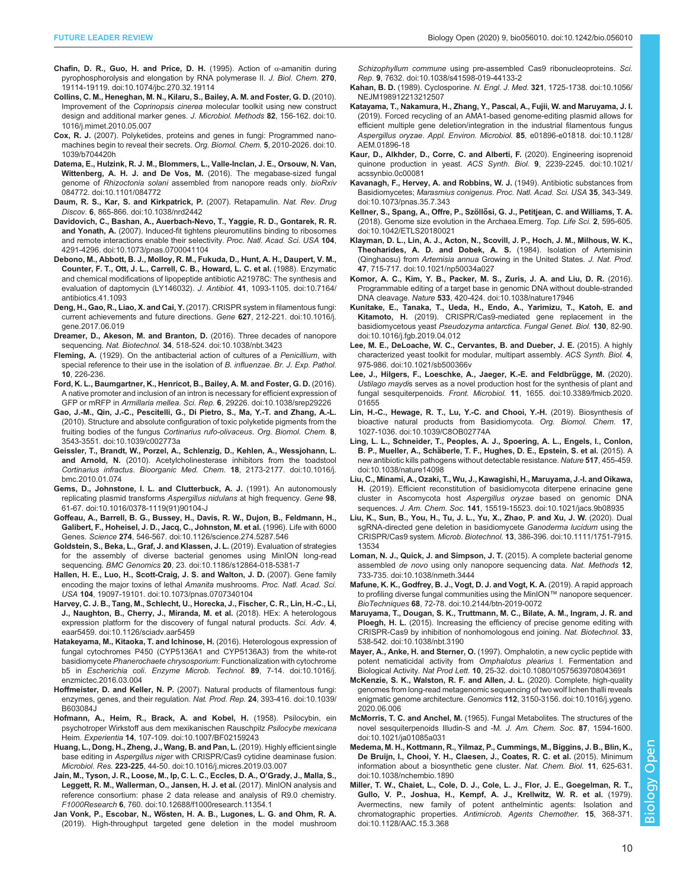- <span id="page-9-0"></span>[Chafin, D. R., Guo, H. and Price, D. H.](https://doi.org/10.1074/jbc.270.32.19114) (1995). Action of α-amanitin during [pyrophosphorolysis and elongation by RNA polymerase II.](https://doi.org/10.1074/jbc.270.32.19114) J. Biol. Chem. 270, [19114-19119. doi:10.1074/jbc.270.32.19114](https://doi.org/10.1074/jbc.270.32.19114)
- [Collins, C. M., Heneghan, M. N., Kilaru, S., Bailey, A. M. and Foster, G. D.](https://doi.org/10.1016/j.mimet.2010.05.007) (2010). Improvement of the Coprinopsis cinerea [molecular toolkit using new construct](https://doi.org/10.1016/j.mimet.2010.05.007) [design and additional marker genes.](https://doi.org/10.1016/j.mimet.2010.05.007) J. Microbiol. Methods 82, 156-162. doi:10. [1016/j.mimet.2010.05.007](https://doi.org/10.1016/j.mimet.2010.05.007)
- Cox, R. J. [\(2007\). Polyketides, proteins and genes in fungi: Programmed nano](https://doi.org/10.1039/b704420h)[machines begin to reveal their secrets.](https://doi.org/10.1039/b704420h) Org. Biomol. Chem. 5, 2010-2026. doi:10. [1039/b704420h](https://doi.org/10.1039/b704420h)
- [Datema, E., Hulzink, R. J. M., Blommers, L., Valle-Inclan, J. E., Orsouw, N. Van,](https://doi.org/10.1101/084772) [Wittenberg, A. H. J. and De Vos, M.](https://doi.org/10.1101/084772) (2016). The megabase-sized fungal genome of Rhizoctonia solani [assembled from nanopore reads only.](https://doi.org/10.1101/084772) bioRxiv [084772. doi:10.1101/084772](https://doi.org/10.1101/084772)
- [Daum, R. S., Kar, S. and Kirkpatrick, P.](https://doi.org/10.1038/nrd2442) (2007). Retapamulin. Nat. Rev. Drug Discov. 6[, 865-866. doi:10.1038/nrd2442](https://doi.org/10.1038/nrd2442)
- [Davidovich, C., Bashan, A., Auerbach-Nevo, T., Yaggie, R. D., Gontarek, R. R.](https://doi.org/10.1073/pnas.0700041104) and Yonath, A. [\(2007\). Induced-fit tightens pleuromutilins binding to ribosomes](https://doi.org/10.1073/pnas.0700041104) [and remote interactions enable their selectivity.](https://doi.org/10.1073/pnas.0700041104) Proc. Natl. Acad. Sci. USA 104, [4291-4296. doi:10.1073/pnas.0700041104](https://doi.org/10.1073/pnas.0700041104)
- [Debono, M., Abbott, B. J., Molloy, R. M., Fukuda, D., Hunt, A. H., Daupert, V. M.,](https://doi.org/10.7164/antibiotics.41.1093) [Counter, F. T., Ott, J. L., Carrell, C. B., Howard, L. C. et al.](https://doi.org/10.7164/antibiotics.41.1093) (1988). Enzymatic [and chemical modifications of lipopeptide antibiotic A21978C: The synthesis and](https://doi.org/10.7164/antibiotics.41.1093) [evaluation of daptomycin \(LY146032\).](https://doi.org/10.7164/antibiotics.41.1093) J. Antibiot. 41, 1093-1105. doi:10.7164/ [antibiotics.41.1093](https://doi.org/10.7164/antibiotics.41.1093)
- Deng, H., Gao, R., Liao, X. and Cai, Y. [\(2017\). CRISPR system in filamentous fungi:](https://doi.org/10.1016/j.gene.2017.06.019) [current achievements and future directions.](https://doi.org/10.1016/j.gene.2017.06.019) Gene 627, 212-221. doi:10.1016/j. [gene.2017.06.019](https://doi.org/10.1016/j.gene.2017.06.019)
- [Dreamer, D., Akeson, M. and Branton, D.](https://doi.org/10.1038/nbt.3423) (2016). Three decades of nanopore sequencing. Nat. Biotechnol. 34[, 518-524. doi:10.1038/nbt.3423](https://doi.org/10.1038/nbt.3423)
- Fleming, A. (1929). On the antibacterial action of cultures of a Penicillium, with special reference to their use in the isolation of B. influenzae. Br. J. Exp. Pathol. 10, 226-236.
- [Ford, K. L., Baumgartner, K., Henricot, B., Bailey, A. M. and Foster, G. D.](https://doi.org/10.1038/srep29226) (2016). [A native promoter and inclusion of an intron is necessary for efficient expression of](https://doi.org/10.1038/srep29226) GFP or mRFP in Armillaria mellea. Sci. Rep. 6[, 29226. doi:10.1038/srep29226](https://doi.org/10.1038/srep29226)
- [Gao, J.-M., Qin, J.-C., Pescitelli, G., Di Pietro, S., Ma, Y.-T. and Zhang, A.-L.](https://doi.org/10.1039/c002773a) [\(2010\). Structure and absolute configuration of toxic polyketide pigments from the](https://doi.org/10.1039/c002773a) [fruiting bodies of the fungus](https://doi.org/10.1039/c002773a) Cortinarius rufo-olivaceus. Org. Biomol. Chem. 8, [3543-3551. doi:10.1039/c002773a](https://doi.org/10.1039/c002773a)
- [Geissler, T., Brandt, W., Porzel, A., Schlenzig, D., Kehlen, A., Wessjohann, L.](https://doi.org/10.1016/j.bmc.2010.01.074) and Arnold, N. [\(2010\). Acetylcholinesterase inhibitors from the toadstool](https://doi.org/10.1016/j.bmc.2010.01.074) Cortinarius infractus. Bioorganic Med. Chem. 18[, 2173-2177. doi:10.1016/j.](https://doi.org/10.1016/j.bmc.2010.01.074) [bmc.2010.01.074](https://doi.org/10.1016/j.bmc.2010.01.074)
- [Gems, D., Johnstone, I. L. and Clutterbuck, A. J.](https://doi.org/10.1016/0378-1119(91)90104-J) (1991). An autonomously [replicating plasmid transforms](https://doi.org/10.1016/0378-1119(91)90104-J) Aspergillus nidulans at high frequency. Gene 98, [61-67. doi:10.1016/0378-1119\(91\)90104-J](https://doi.org/10.1016/0378-1119(91)90104-J)
- [Goffeau, A., Barrell, B. G., Bussey, H., Davis, R. W., Dujon, B., Feldmann, H.,](https://doi.org/10.1126/science.274.5287.546) [Galibert, F., Hoheisel, J. D., Jacq, C., Johnston, M. et al.](https://doi.org/10.1126/science.274.5287.546) (1996). Life with 6000 Genes. Science 274[, 546-567. doi:10.1126/science.274.5287.546](https://doi.org/10.1126/science.274.5287.546)
- [Goldstein, S., Beka, L., Graf, J. and Klassen, J. L.](https://doi.org/10.1186/s12864-018-5381-7) (2019). Evaluation of strategies [for the assembly of diverse bacterial genomes using MinION long-read](https://doi.org/10.1186/s12864-018-5381-7) sequencing. BMC Genomics 20[, 23. doi:10.1186/s12864-018-5381-7](https://doi.org/10.1186/s12864-018-5381-7)
- [Hallen, H. E., Luo, H., Scott-Craig, J. S. and Walton, J. D.](https://doi.org/10.1073/pnas.0707340104) (2007). Gene family [encoding the major toxins of lethal](https://doi.org/10.1073/pnas.0707340104) Amanita mushrooms. Proc. Natl. Acad. Sci. USA 104[, 19097-19101. doi:10.1073/pnas.0707340104](https://doi.org/10.1073/pnas.0707340104)
- [Harvey, C. J. B., Tang, M., Schlecht, U., Horecka, J., Fischer, C. R., Lin, H.-C., Li,](https://doi.org/10.1126/sciadv.aar5459) [J., Naughton, B., Cherry, J., Miranda, M. et al.](https://doi.org/10.1126/sciadv.aar5459) (2018). HEx: A heterologous [expression platform for the discovery of fungal natural products.](https://doi.org/10.1126/sciadv.aar5459) Sci. Adv. 4, [eaar5459. doi:10.1126/sciadv.aar5459](https://doi.org/10.1126/sciadv.aar5459)
- [Hatakeyama, M., Kitaoka, T. and Ichinose, H.](https://doi.org/10.1016/j.enzmictec.2016.03.004) (2016). Heterologous expression of [fungal cytochromes P450 \(CYP5136A1 and CYP5136A3\) from the white-rot](https://doi.org/10.1016/j.enzmictec.2016.03.004) basidiomycete Phanerochaete chrysosporium[: Functionalization with cytochrome](https://doi.org/10.1016/j.enzmictec.2016.03.004) b5 in Escherichia coli. [Enzyme Microb. Technol.](https://doi.org/10.1016/j.enzmictec.2016.03.004) 89, 7-14. doi:10.1016/j. [enzmictec.2016.03.004](https://doi.org/10.1016/j.enzmictec.2016.03.004)
- Hoffmeister, D. and Keller, N. P. [\(2007\). Natural products of filamentous fungi:](https://doi.org/10.1039/B603084J) [enzymes, genes, and their regulation.](https://doi.org/10.1039/B603084J) Nat. Prod. Rep. 24, 393-416. doi:10.1039/ [B603084J](https://doi.org/10.1039/B603084J)
- [Hofmann, A., Heim, R., Brack, A. and Kobel, H.](https://doi.org/10.1007/BF02159243) (1958). Psilocybin, ein [psychotroper Wirkstoff aus dem mexikanischen Rauschpilz](https://doi.org/10.1007/BF02159243) Psilocybe mexicana Heim. Experientia 14[, 107-109. doi:10.1007/BF02159243](https://doi.org/10.1007/BF02159243)
- [Huang, L., Dong, H., Zheng, J., Wang, B. and Pan, L.](https://doi.org/10.1016/j.micres.2019.03.007) (2019). Highly efficient single base editing in Aspergillus niger [with CRISPR/Cas9 cytidine deaminase fusion.](https://doi.org/10.1016/j.micres.2019.03.007) Microbiol. Res. 223-225[, 44-50. doi:10.1016/j.micres.2019.03.007](https://doi.org/10.1016/j.micres.2019.03.007)
- [Jain, M., Tyson, J. R., Loose, M., Ip, C. L. C., Eccles, D. A., O](https://doi.org/10.12688/f1000research.11354.1)'Grady, J., Malla, S., [Leggett, R. M., Wallerman, O., Jansen, H. J. et al.](https://doi.org/10.12688/f1000research.11354.1) (2017). MinION analysis and [reference consortium: phase 2 data release and analysis of R9.0 chemistry.](https://doi.org/10.12688/f1000research.11354.1) F1000Research 6[, 760. doi:10.12688/f1000research.11354.1](https://doi.org/10.12688/f1000research.11354.1)
- Jan Vonk, P., Escobar, N., Wö[sten, H. A. B., Lugones, L. G. and Ohm, R. A.](https://doi.org/10.1038/s41598-019-44133-2) [\(2019\). High-throughput targeted gene deletion in the model mushroom](https://doi.org/10.1038/s41598-019-44133-2)

Schizophyllum commune [using pre-assembled Cas9 ribonucleoproteins.](https://doi.org/10.1038/s41598-019-44133-2) Sci. Rep. 9[, 7632. doi:10.1038/s41598-019-44133-2](https://doi.org/10.1038/s41598-019-44133-2)

- Kahan, B. D. (1989). Cyclosporine. N. Engl. J. Med. 321[, 1725-1738. doi:10.1056/](https://doi.org/10.1056/NEJM198912213212507) [NEJM198912213212507](https://doi.org/10.1056/NEJM198912213212507)
- [Katayama, T., Nakamura, H., Zhang, Y., Pascal, A., Fujii, W. and Maruyama, J. I.](https://doi.org/10.1128/AEM.01896-18) [\(2019\). Forced recycling of an AMA1-based genome-editing plasmid allows for](https://doi.org/10.1128/AEM.01896-18) [efficient multiple gene deletion/integration in the industrial filamentous fungus](https://doi.org/10.1128/AEM.01896-18) Aspergillus oryzae. Appl. Environ. Microbiol. 85[, e01896-e01818. doi:10.1128/](https://doi.org/10.1128/AEM.01896-18) [AEM.01896-18](https://doi.org/10.1128/AEM.01896-18)
- [Kaur, D., Alkhder, D., Corre, C. and Alberti, F.](https://doi.org/10.1021/acssynbio.0c00081) (2020). Engineering isoprenoid [quinone production in yeast.](https://doi.org/10.1021/acssynbio.0c00081) ACS Synth. Biol. 9, 2239-2245. doi:10.1021/ [acssynbio.0c00081](https://doi.org/10.1021/acssynbio.0c00081)
- [Kavanagh, F., Hervey, A. and Robbins, W. J.](https://doi.org/10.1073/pnas.35.7.343) (1949). Antibiotic substances from Basidiomycetes; Marasmius conigenus. [Proc. Natl. Acad. Sci. USA](https://doi.org/10.1073/pnas.35.7.343) 35, 343-349. [doi:10.1073/pnas.35.7.343](https://doi.org/10.1073/pnas.35.7.343)
- Kellner, S., Spang, A., Offre, P., Szöllő[si, G. J., Petitjean, C. and Williams, T. A.](https://doi.org/10.1042/ETLS20180021) [\(2018\). Genome size evolution in the Archaea.Emerg.](https://doi.org/10.1042/ETLS20180021) Top. Life Sci. 2, 595-605. [doi:10.1042/ETLS20180021](https://doi.org/10.1042/ETLS20180021)
- [Klayman, D. L., Lin, A. J., Acton, N., Scovill, J. P., Hoch, J. M., Milhous, W. K.,](https://doi.org/10.1021/np50034a027) [Theoharides, A. D. and Dobek, A. S.](https://doi.org/10.1021/np50034a027) (1984). Isolation of Artemisinin (Qinghaosu) from Artemisia annua [Growing in the United States.](https://doi.org/10.1021/np50034a027) J. Nat. Prod. 47[, 715-717. doi:10.1021/np50034a027](https://doi.org/10.1021/np50034a027)
- [Komor, A. C., Kim, Y. B., Packer, M. S., Zuris, J. A. and Liu, D. R.](https://doi.org/10.1038/nature17946) (2016). [Programmable editing of a target base in genomic DNA without double-stranded](https://doi.org/10.1038/nature17946) DNA cleavage. Nature 533[, 420-424. doi:10.1038/nature17946](https://doi.org/10.1038/nature17946)
- [Kunitake, E., Tanaka, T., Ueda, H., Endo, A., Yarimizu, T., Katoh, E. and](https://doi.org/10.1016/j.fgb.2019.04.012) Kitamoto, H. [\(2019\). CRISPR/Cas9-mediated gene replacement in the](https://doi.org/10.1016/j.fgb.2019.04.012) basidiomycetous yeast [Pseudozyma antarctica](https://doi.org/10.1016/j.fgb.2019.04.012). Fungal Genet. Biol. 130, 82-90. [doi:10.1016/j.fgb.2019.04.012](https://doi.org/10.1016/j.fgb.2019.04.012)
- [Lee, M. E., DeLoache, W. C., Cervantes, B. and Dueber, J. E.](https://doi.org/10.1021/sb500366v) (2015). A highly [characterized yeast toolkit for modular, multipart assembly.](https://doi.org/10.1021/sb500366v) ACS Synth. Biol. 4, [975-986. doi:10.1021/sb500366v](https://doi.org/10.1021/sb500366v)
- Lee, J., Hilgers, F., Loeschke, A., Jaeger, K.-E. and Feldbrügge, M. (2020). Ustilago maydi[s serves as a novel production host for the synthesis of plant and](https://doi.org/10.3389/fmicb.2020.01655) fungal sesquiterpenoids. Front. Microbiol. 11[, 1655. doi:10.3389/fmicb.2020.](https://doi.org/10.3389/fmicb.2020.01655) [01655](https://doi.org/10.3389/fmicb.2020.01655)
- [Lin, H.-C., Hewage, R. T., Lu, Y.-C. and Chooi, Y.-H.](https://doi.org/10.1039/C8OB02774A) (2019). Biosynthesis of [bioactive natural products from Basidiomycota.](https://doi.org/10.1039/C8OB02774A) Org. Biomol. Chem. 17, [1027-1036. doi:10.1039/C8OB02774A](https://doi.org/10.1039/C8OB02774A)
- [Ling, L. L., Schneider, T., Peoples, A. J., Spoering, A. L., Engels, I., Conlon,](https://doi.org/10.1038/nature14098) B. P., Mueller, A., Schä[berle, T. F., Hughes, D. E., Epstein, S. et al.](https://doi.org/10.1038/nature14098) (2015). A [new antibiotic kills pathogens without detectable resistance.](https://doi.org/10.1038/nature14098) Nature 517, 455-459. [doi:10.1038/nature14098](https://doi.org/10.1038/nature14098)
- [Liu, C., Minami, A., Ozaki, T., Wu, J., Kawagishi, H., Maruyama, J.-I. and Oikawa,](https://doi.org/10.1021/jacs.9b08935) H. [\(2019\). Efficient reconstitution of basidiomycota diterpene erinacine gene](https://doi.org/10.1021/jacs.9b08935) [cluster in Ascomycota host](https://doi.org/10.1021/jacs.9b08935) Aspergillus oryzae based on genomic DNA sequences. J. Am. Chem. Soc. 141[, 15519-15523. doi:10.1021/jacs.9b08935](https://doi.org/10.1021/jacs.9b08935)
- [Liu, K., Sun, B., You, H., Tu, J. L., Yu, X., Zhao, P. and Xu, J. W.](https://doi.org/10.1111/1751-7915.13534) (2020). Dual [sgRNA-directed gene deletion in basidiomycete](https://doi.org/10.1111/1751-7915.13534) Ganoderma lucidum using the CRISPR/Cas9 system. Microb. Biotechnol. 13[, 386-396. doi:10.1111/1751-7915.](https://doi.org/10.1111/1751-7915.13534) [13534](https://doi.org/10.1111/1751-7915.13534)
- [Loman, N. J., Quick, J. and Simpson, J. T.](https://doi.org/10.1038/nmeth.3444) (2015). A complete bacterial genome assembled de novo [using only nanopore sequencing data.](https://doi.org/10.1038/nmeth.3444) Nat. Methods 12, [733-735. doi:10.1038/nmeth.3444](https://doi.org/10.1038/nmeth.3444)
- [Mafune, K. K., Godfrey, B. J., Vogt, D. J. and Vogt, K. A.](https://doi.org/10.2144/btn-2019-0072) (2019). A rapid approach [to profiling diverse fungal communities using the MinION](https://doi.org/10.2144/btn-2019-0072)™ nanopore sequencer. BioTechniques 68[, 72-78. doi:10.2144/btn-2019-0072](https://doi.org/10.2144/btn-2019-0072)
- [Maruyama, T., Dougan, S. K., Truttmann, M. C., Bilate, A. M., Ingram, J. R. and](https://doi.org/10.1038/nbt.3190) Ploegh, H. L. [\(2015\). Increasing the efficiency of precise genome editing with](https://doi.org/10.1038/nbt.3190) [CRISPR-Cas9 by inhibition of nonhomologous end joining.](https://doi.org/10.1038/nbt.3190) Nat. Biotechnol. 33, [538-542. doi:10.1038/nbt.3190](https://doi.org/10.1038/nbt.3190)
- Mayer, A., Anke, H. and Sterner, O. [\(1997\). Omphalotin, a new cyclic peptide with](https://doi.org/10.1080/10575639708043691) [potent nematicidal activity from](https://doi.org/10.1080/10575639708043691) Omphalotus plearius I. Fermentation and Biological Activity. Nat Prod Lett. 10[, 25-32. doi:10.1080/10575639708043691](https://doi.org/10.1080/10575639708043691)
- [McKenzie, S. K., Walston, R. F. and Allen, J. L.](https://doi.org/10.1016/j.ygeno.2020.06.006) (2020). Complete, high-quality [genomes from long-read metagenomic sequencing of two wolf lichen thalli reveals](https://doi.org/10.1016/j.ygeno.2020.06.006) enigmatic genome architecture. Genomics 112[, 3150-3156. doi:10.1016/j.ygeno.](https://doi.org/10.1016/j.ygeno.2020.06.006) [2020.06.006](https://doi.org/10.1016/j.ygeno.2020.06.006)
- McMorris, T. C. and Anchel, M. [\(1965\). Fungal Metabolites. The structures of the](https://doi.org/10.1021/ja01085a031) [novel sesquiterpenoids Illudin-S and -M.](https://doi.org/10.1021/ja01085a031) J. Am. Chem. Soc. 87, 1594-1600. [doi:10.1021/ja01085a031](https://doi.org/10.1021/ja01085a031)
- [Medema, M. H., Kottmann, R., Yilmaz, P., Cummings, M., Biggins, J. B., Blin, K.,](https://doi.org/10.1038/nchembio.1890) [De Bruijn, I., Chooi, Y. H., Claesen, J., Coates, R. C. et al.](https://doi.org/10.1038/nchembio.1890) (2015). Minimum [information about a biosynthetic gene cluster.](https://doi.org/10.1038/nchembio.1890) Nat. Chem. Biol. 11, 625-631. [doi:10.1038/nchembio.1890](https://doi.org/10.1038/nchembio.1890)
- [Miller, T. W., Chaiet, L., Cole, D. J., Cole, L. J., Flor, J. E., Goegelman, R. T.,](https://doi.org/10.1128/AAC.15.3.368) [Gullo, V. P., Joshua, H., Kempf, A. J., Krellwitz, W. R. et al.](https://doi.org/10.1128/AAC.15.3.368) (1979). [Avermectins, new family of potent anthelmintic agents: Isolation and](https://doi.org/10.1128/AAC.15.3.368) chromatographic properties. [Antimicrob. Agents Chemother.](https://doi.org/10.1128/AAC.15.3.368) 15, 368-371. [doi:10.1128/AAC.15.3.368](https://doi.org/10.1128/AAC.15.3.368)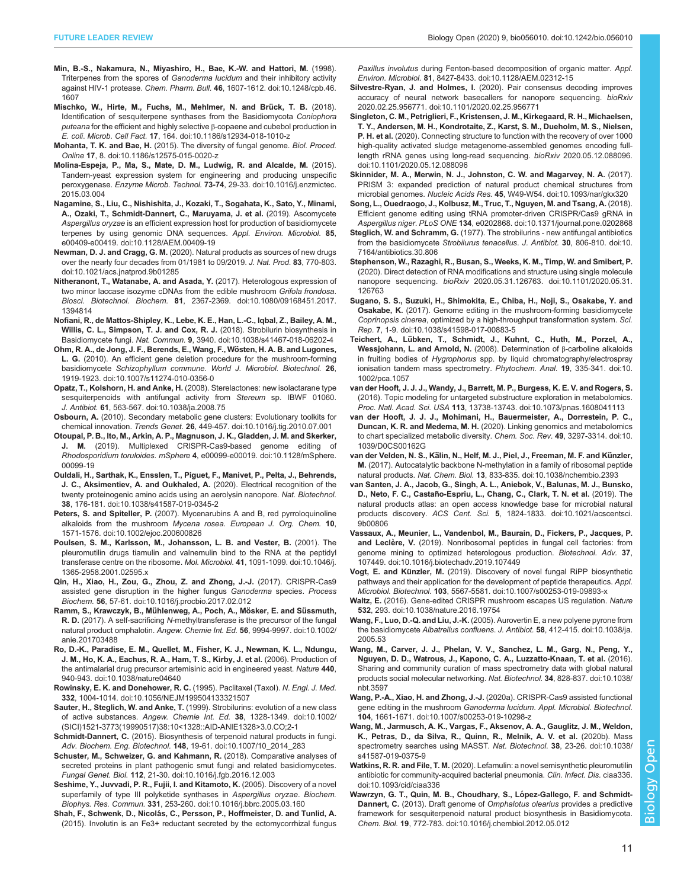- <span id="page-10-0"></span>[Min, B.-S., Nakamura, N., Miyashiro, H., Bae, K.-W. and Hattori, M.](https://doi.org/10.1248/cpb.46.1607) (1998). [Triterpenes from the spores of](https://doi.org/10.1248/cpb.46.1607) Ganoderma lucidum and their inhibitory activity against HIV-1 protease. Chem. Pharm. Bull. 46[, 1607-1612. doi:10.1248/cpb.46.](https://doi.org/10.1248/cpb.46.1607) [1607](https://doi.org/10.1248/cpb.46.1607)
- [Mischko, W., Hirte, M., Fuchs, M., Mehlmer, N. and Bru](https://doi.org/10.1186/s12934-018-1010-z)̈ck, T. B. (2018). [Identification of sesquiterpene synthases from the Basidiomycota](https://doi.org/10.1186/s12934-018-1010-z) Coniophora puteana for the efficient and highly selective β[-copaene and cubebol production in](https://doi.org/10.1186/s12934-018-1010-z) E. coli. Microb. Cell Fact. 17[, 164. doi:10.1186/s12934-018-1010-z](https://doi.org/10.1186/s12934-018-1010-z)
- Mohanta, T. K. and Bae, H. [\(2015\). The diversity of fungal genome.](https://doi.org/10.1186/s12575-015-0020-z) Biol. Proced. Online 17[, 8. doi:10.1186/s12575-015-0020-z](https://doi.org/10.1186/s12575-015-0020-z)
- [Molina-Espeja, P., Ma, S., Mate, D. M., Ludwig, R. and Alcalde, M.](https://doi.org/10.1016/j.enzmictec.2015.03.004) (2015). [Tandem-yeast expression system for engineering and producing unspecific](https://doi.org/10.1016/j.enzmictec.2015.03.004) peroxygenase. Enzyme Microb. Technol. 73-74[, 29-33. doi:10.1016/j.enzmictec.](https://doi.org/10.1016/j.enzmictec.2015.03.004) [2015.03.004](https://doi.org/10.1016/j.enzmictec.2015.03.004)
- [Nagamine, S., Liu, C., Nishishita, J., Kozaki, T., Sogahata, K., Sato, Y., Minami,](https://doi.org/10.1128/AEM.00409-19) [A., Ozaki, T., Schmidt-Dannert, C., Maruyama, J. et al.](https://doi.org/10.1128/AEM.00409-19) (2019). Ascomycete Aspergillus oryzae [is an efficient expression host for production of basidiomycete](https://doi.org/10.1128/AEM.00409-19) [terpenes by using genomic DNA sequences.](https://doi.org/10.1128/AEM.00409-19) Appl. Environ. Microbiol. 85, [e00409-e00419. doi:10.1128/AEM.00409-19](https://doi.org/10.1128/AEM.00409-19)
- Newman, D. J. and Cragg, G. M. [\(2020\). Natural products as sources of new drugs](https://doi.org/10.1021/acs.jnatprod.9b01285) [over the nearly four decades from 01/1981 to 09/2019.](https://doi.org/10.1021/acs.jnatprod.9b01285) J. Nat. Prod. 83, 770-803. [doi:10.1021/acs.jnatprod.9b01285](https://doi.org/10.1021/acs.jnatprod.9b01285)
- [Nitheranont, T., Watanabe, A. and Asada, Y.](https://doi.org/10.1080/09168451.2017.1394814) (2017). Heterologous expression of [two minor laccase isozyme cDNAs from the edible mushroom](https://doi.org/10.1080/09168451.2017.1394814) Grifola frondosa. Biosci. Biotechnol. Biochem. 81[, 2367-2369. doi:10.1080/09168451.2017.](https://doi.org/10.1080/09168451.2017.1394814) [1394814](https://doi.org/10.1080/09168451.2017.1394814)
- [Nofiani, R., de Mattos-Shipley, K., Lebe, K. E., Han, L.-C., Iqbal, Z., Bailey, A. M.,](https://doi.org/10.1038/s41467-018-06202-4) [Willis, C. L., Simpson, T. J. and Cox, R. J.](https://doi.org/10.1038/s41467-018-06202-4) (2018). Strobilurin biosynthesis in Basidiomycete fungi. Nat. Commun. 9[, 3940. doi:10.1038/s41467-018-06202-4](https://doi.org/10.1038/s41467-018-06202-4)
- Ohm, R. A., de Jong, J. F., Berends, E., Wang, F., Wösten, H. A. B. and Lugones, L. G. [\(2010\). An efficient gene deletion procedure for the mushroom-forming](https://doi.org/10.1007/s11274-010-0356-0) basidiomycete Schizophyllum commune. [World J. Microbiol. Biotechnol.](https://doi.org/10.1007/s11274-010-0356-0) 26, [1919-1923. doi:10.1007/s11274-010-0356-0](https://doi.org/10.1007/s11274-010-0356-0)
- Opatz, T., Kolshorn, H. and Anke, H. [\(2008\). Sterelactones: new isolactarane type](https://doi.org/10.1038/ja.2008.75) [sesquiterpenoids with antifungal activity from](https://doi.org/10.1038/ja.2008.75) Stereum sp. IBWF 01060. J. Antibiot. 61[, 563-567. doi:10.1038/ja.2008.75](https://doi.org/10.1038/ja.2008.75)
- Osbourn, A. [\(2010\). Secondary metabolic gene clusters: Evolutionary toolkits for](https://doi.org/10.1016/j.tig.2010.07.001) chemical innovation. Trends Genet. 26[, 449-457. doi:10.1016/j.tig.2010.07.001](https://doi.org/10.1016/j.tig.2010.07.001)
- [Otoupal, P. B., Ito, M., Arkin, A. P., Magnuson, J. K., Gladden, J. M. and Skerker,](https://doi.org/10.1128/mSphere.00099-19) J. M. [\(2019\). Multiplexed CRISPR-Cas9-based genome editing of](https://doi.org/10.1128/mSphere.00099-19) Rhodosporidium toruloides. mSphere 4[, e00099-e00019. doi:10.1128/mSphere.](https://doi.org/10.1128/mSphere.00099-19) [00099-19](https://doi.org/10.1128/mSphere.00099-19)
- [Ouldali, H., Sarthak, K., Ensslen, T., Piguet, F., Manivet, P., Pelta, J., Behrends,](https://doi.org/10.1038/s41587-019-0345-2) [J. C., Aksimentiev, A. and Oukhaled, A.](https://doi.org/10.1038/s41587-019-0345-2) (2020). Electrical recognition of the [twenty proteinogenic amino acids using an aerolysin nanopore.](https://doi.org/10.1038/s41587-019-0345-2) Nat. Biotechnol. 38[, 176-181. doi:10.1038/s41587-019-0345-2](https://doi.org/10.1038/s41587-019-0345-2)
- Peters, S. and Spiteller, P. [\(2007\). Mycenarubins A and B, red pyrroloquinoline](https://doi.org/10.1002/ejoc.200600826) [alkaloids from the mushroom](https://doi.org/10.1002/ejoc.200600826) Mycena rosea. European J. Org. Chem. 10, [1571-1576. doi:10.1002/ejoc.200600826](https://doi.org/10.1002/ejoc.200600826)
- [Poulsen, S. M., Karlsson, M., Johansson, L. B. and Vester, B.](https://doi.org/10.1046/j.1365-2958.2001.02595.x) (2001). The [pleuromutilin drugs tiamulin and valnemulin bind to the RNA at the peptidyl](https://doi.org/10.1046/j.1365-2958.2001.02595.x) [transferase centre on the ribosome.](https://doi.org/10.1046/j.1365-2958.2001.02595.x) Mol. Microbiol. 41, 1091-1099. doi:10.1046/j. [1365-2958.2001.02595.x](https://doi.org/10.1046/j.1365-2958.2001.02595.x)
- [Qin, H., Xiao, H., Zou, G., Zhou, Z. and Zhong, J.-J.](https://doi.org/10.1016/j.procbio.2017.02.012) (2017). CRISPR-Cas9 [assisted gene disruption in the higher fungus](https://doi.org/10.1016/j.procbio.2017.02.012) Ganoderma species. Process Biochem. 56[, 57-61. doi:10.1016/j.procbio.2017.02.012](https://doi.org/10.1016/j.procbio.2017.02.012)
- Ramm, S., Krawczyk, B., Mühlenweg, A., Poch, A., Mösker, E. and Süssmuth, R. D. (2017). A self-sacrificing N[-methyltransferase is the precursor of the fungal](https://doi.org/10.1002/anie.201703488) [natural product omphalotin.](https://doi.org/10.1002/anie.201703488) Angew. Chemie Int. Ed. 56, 9994-9997. doi:10.1002/ [anie.201703488](https://doi.org/10.1002/anie.201703488)
- [Ro, D.-K., Paradise, E. M., Quellet, M., Fisher, K. J., Newman, K. L., Ndungu,](https://doi.org/10.1038/nature04640) [J. M., Ho, K. A., Eachus, R. A., Ham, T. S., Kirby, J. et al.](https://doi.org/10.1038/nature04640) (2006). Production of [the antimalarial drug precursor artemisinic acid in engineered yeast.](https://doi.org/10.1038/nature04640) Nature 440, [940-943. doi:10.1038/nature04640](https://doi.org/10.1038/nature04640)
- [Rowinsky, E. K. and Donehower, R. C.](https://doi.org/10.1056/NEJM199504133321507) (1995). Paclitaxel (Taxol). N. Engl. J. Med. 332[, 1004-1014. doi:10.1056/NEJM199504133321507](https://doi.org/10.1056/NEJM199504133321507)
- Sauter, H., Steglich, W. and Anke, T. [\(1999\). Strobilurins: evolution of a new class](https://doi.org/10.1002/(SICI)1521-3773(19990517)38:10%3C1328::AID-ANIE1328%3E3.0.CO;2-1) of active substances. Angew. Chemie Int. Ed. 38[, 1328-1349. doi:10.1002/](https://doi.org/10.1002/(SICI)1521-3773(19990517)38:10%3C1328::AID-ANIE1328%3E3.0.CO;2-1) [\(SICI\)1521-3773\(19990517\)38:10<1328::AID-ANIE1328>3.0.CO;2-1](https://doi.org/10.1002/(SICI)1521-3773(19990517)38:10%3C1328::AID-ANIE1328%3E3.0.CO;2-1)
- Schmidt-Dannert, C. [\(2015\). Biosynthesis of terpenoid natural products in fungi.](https://doi.org/10.1007/10_2014_283) Adv. Biochem. Eng. Biotechnol. 148[, 19-61. doi:10.1007/10\\_2014\\_283](https://doi.org/10.1007/10_2014_283)
- [Schuster, M., Schweizer, G. and Kahmann, R.](https://doi.org/10.1016/j.fgb.2016.12.003) (2018). Comparative analyses of [secreted proteins in plant pathogenic smut fungi and related basidiomycetes.](https://doi.org/10.1016/j.fgb.2016.12.003) Fungal Genet. Biol. 112[, 21-30. doi:10.1016/j.fgb.2016.12.003](https://doi.org/10.1016/j.fgb.2016.12.003)
- [Seshime, Y., Juvvadi, P. R., Fujii, I. and Kitamoto, K.](https://doi.org/10.1016/j.bbrc.2005.03.160) (2005). Discovery of a novel [superfamily of type III polyketide synthases in](https://doi.org/10.1016/j.bbrc.2005.03.160) Aspergillus oryzae. Biochem. Biophys. Res. Commun. 331[, 253-260. doi:10.1016/j.bbrc.2005.03.160](https://doi.org/10.1016/j.bbrc.2005.03.160)
- Shah, F., Schwenk, D., Nicolá[s, C., Persson, P., Hoffmeister, D. and Tunlid, A.](https://doi.org/10.1128/AEM.02312-15) [\(2015\). Involutin is an Fe3+ reductant secreted by the ectomycorrhizal fungus](https://doi.org/10.1128/AEM.02312-15)

Paxillus involutus [during Fenton-based decomposition of organic matter.](https://doi.org/10.1128/AEM.02312-15) Appl. Environ. Microbiol. 81[, 8427-8433. doi:10.1128/AEM.02312-15](https://doi.org/10.1128/AEM.02312-15)

- Silvestre-Ryan, J. and Holmes, I. [\(2020\). Pair consensus decoding improves](https://doi.org/10.1101/2020.02.25.956771) [accuracy of neural network basecallers for nanopore sequencing.](https://doi.org/10.1101/2020.02.25.956771) bioRxiv [2020.02.25.956771. doi:10.1101/2020.02.25.956771](https://doi.org/10.1101/2020.02.25.956771)
- [Singleton, C. M., Petriglieri, F., Kristensen, J. M., Kirkegaard, R. H., Michaelsen,](https://doi.org/10.1101/2020.05.12.088096) [T. Y., Andersen, M. H., Kondrotaite, Z., Karst, S. M., Dueholm, M. S., Nielsen,](https://doi.org/10.1101/2020.05.12.088096) P. H. et al. [\(2020\). Connecting structure to function with the recovery of over 1000](https://doi.org/10.1101/2020.05.12.088096) [high-quality activated sludge metagenome-assembled genomes encoding full](https://doi.org/10.1101/2020.05.12.088096)[length rRNA genes using long-read sequencing.](https://doi.org/10.1101/2020.05.12.088096) bioRxiv 2020.05.12.088096. [doi:10.1101/2020.05.12.088096](https://doi.org/10.1101/2020.05.12.088096)
- [Skinnider, M. A., Merwin, N. J., Johnston, C. W. and Magarvey, N. A.](https://doi.org/10.1093/nar/gkx320) (2017). [PRISM 3: expanded prediction of natural product chemical structures from](https://doi.org/10.1093/nar/gkx320) microbial genomes. Nucleic Acids Res. 45[, W49-W54. doi:10.1093/nar/gkx320](https://doi.org/10.1093/nar/gkx320)
- [Song, L., Ouedraogo, J., Kolbusz, M., Truc, T., Nguyen, M. and Tsang, A.](https://doi.org/10.1371/journal.pone.0202868) (2018). [Efficient genome editing using tRNA promoter-driven CRISPR/Cas9 gRNA in](https://doi.org/10.1371/journal.pone.0202868) Aspergillus niger. PLoS ONE 134[, e0202868. doi:10.1371/journal.pone.0202868](https://doi.org/10.1371/journal.pone.0202868)
- Steglich, W. and Schramm, G. [\(1977\). The strobilurins new antifungal antibiotics](https://doi.org/10.7164/antibiotics.30.806) [from the basidiomycete](https://doi.org/10.7164/antibiotics.30.806) Strobilurus tenacellus. J. Antibiot. 30, 806-810. doi:10. [7164/antibiotics.30.806](https://doi.org/10.7164/antibiotics.30.806)
- [Stephenson, W., Razaghi, R., Busan, S., Weeks, K. M., Timp, W. and Smibert, P.](https://doi.org/10.1101/2020.05.31.126763) [\(2020\). Direct detection of RNA modifications and structure using single molecule](https://doi.org/10.1101/2020.05.31.126763) nanopore sequencing. bioRxiv [2020.05.31.126763. doi:10.1101/2020.05.31.](https://doi.org/10.1101/2020.05.31.126763) [126763](https://doi.org/10.1101/2020.05.31.126763)
- [Sugano, S. S., Suzuki, H., Shimokita, E., Chiba, H., Noji, S., Osakabe, Y. and](https://doi.org/10.1038/s41598-017-00883-5) Osakabe, K. [\(2017\). Genome editing in the mushroom-forming basidiomycete](https://doi.org/10.1038/s41598-017-00883-5) Coprinopsis cinerea[, optimized by a high-throughput transformation system.](https://doi.org/10.1038/s41598-017-00883-5) Sci. Rep. 7[, 1-9. doi:10.1038/s41598-017-00883-5](https://doi.org/10.1038/s41598-017-00883-5)
- Teichert, A., Lü[bken, T., Schmidt, J., Kuhnt, C., Huth, M., Porzel, A.,](https://doi.org/10.1002/pca.1057) [Wessjohann, L. and Arnold, N.](https://doi.org/10.1002/pca.1057) (2008). Determination of β-carboline alkaloids in fruiting bodies of Hygrophorus [spp. by liquid chromatography/electrospray](https://doi.org/10.1002/pca.1057) [ionisation tandem mass spectrometry.](https://doi.org/10.1002/pca.1057) Phytochem. Anal. 19, 335-341. doi:10. [1002/pca.1057](https://doi.org/10.1002/pca.1057)
- [van der Hooft, J. J. J., Wandy, J., Barrett, M. P., Burgess, K. E. V. and Rogers, S.](https://doi.org/10.1073/pnas.1608041113) [\(2016\). Topic modeling for untargeted substructure exploration in metabolomics.](https://doi.org/10.1073/pnas.1608041113) Proc. Natl. Acad. Sci. USA 113[, 13738-13743. doi:10.1073/pnas.1608041113](https://doi.org/10.1073/pnas.1608041113)
- [van der Hooft, J. J. J., Mohimani, H., Bauermeister, A., Dorrestein, P. C.,](https://doi.org/10.1039/D0CS00162G) Duncan, K. R. and Medema, M. H. [\(2020\). Linking genomics and metabolomics](https://doi.org/10.1039/D0CS00162G) [to chart specialized metabolic diversity.](https://doi.org/10.1039/D0CS00162G) Chem. Soc. Rev. 49, 3297-3314. doi:10. [1039/D0CS00162G](https://doi.org/10.1039/D0CS00162G)
- van der Velden, N. S., Kä[lin, N., Helf, M. J., Piel, J., Freeman, M. F. and Ku](https://doi.org/10.1038/nchembio.2393)̈nzler, M. [\(2017\). Autocatalytic backbone N-methylation in a family of ribosomal peptide](https://doi.org/10.1038/nchembio.2393) natural products. Nat. Chem. Biol. 13[, 833-835. doi:10.1038/nchembio.2393](https://doi.org/10.1038/nchembio.2393)
- [van Santen, J. A., Jacob, G., Singh, A. L., Aniebok, V., Balunas, M. J., Bunsko,](https://doi.org/10.1021/acscentsci.9b00806) D., Neto, F. C., Castañ[o-Espriu, L., Chang, C., Clark, T. N. et al.](https://doi.org/10.1021/acscentsci.9b00806) (2019). The [natural products atlas: an open access knowledge base for microbial natural](https://doi.org/10.1021/acscentsci.9b00806) products discovery. ACS Cent. Sci. 5[, 1824-1833. doi:10.1021/acscentsci.](https://doi.org/10.1021/acscentsci.9b00806) [9b00806](https://doi.org/10.1021/acscentsci.9b00806)
- [Vassaux, A., Meunier, L., Vandenbol, M., Baurain, D., Fickers, P., Jacques, P.](https://doi.org/10.1016/j.biotechadv.2019.107449) and Leclère, V. [\(2019\). Nonribosomal peptides in fungal cell factories: from](https://doi.org/10.1016/j.biotechadv.2019.107449) [genome mining to optimized heterologous production.](https://doi.org/10.1016/j.biotechadv.2019.107449) Biotechnol. Adv. 37, [107449. doi:10.1016/j.biotechadv.2019.107449](https://doi.org/10.1016/j.biotechadv.2019.107449)
- Vogt, E. and Künzler, M. [\(2019\). Discovery of novel fungal RiPP biosynthetic](https://doi.org/10.1007/s00253-019-09893-x) [pathways and their application for the development of peptide therapeutics.](https://doi.org/10.1007/s00253-019-09893-x) Appl. Microbiol. Biotechnol. 103[, 5567-5581. doi:10.1007/s00253-019-09893-x](https://doi.org/10.1007/s00253-019-09893-x)
- Waltz, E. [\(2016\). Gene-edited CRISPR mushroom escapes US regulation.](https://doi.org/10.1038/nature.2016.19754) Nature 532[, 293. doi:10.1038/nature.2016.19754](https://doi.org/10.1038/nature.2016.19754)
- Wang, F., Luo, D.-Q. and Liu, J.-K. [\(2005\). Aurovertin E, a new polyene pyrone from](https://doi.org/10.1038/ja.2005.53) the basidiomycete Albatrellus confluens. J. Antibiot. 58[, 412-415. doi:10.1038/ja.](https://doi.org/10.1038/ja.2005.53) [2005.53](https://doi.org/10.1038/ja.2005.53)
- [Wang, M., Carver, J. J., Phelan, V. V., Sanchez, L. M., Garg, N., Peng, Y.,](https://doi.org/10.1038/nbt.3597) [Nguyen, D. D., Watrous, J., Kapono, C. A., Luzzatto-Knaan, T. et al.](https://doi.org/10.1038/nbt.3597) (2016). [Sharing and community curation of mass spectrometry data with global natural](https://doi.org/10.1038/nbt.3597) [products social molecular networking.](https://doi.org/10.1038/nbt.3597) Nat. Biotechnol. 34, 828-837. doi:10.1038/ [nbt.3597](https://doi.org/10.1038/nbt.3597)
- Wang, P.-A., Xiao, H. and Zhong, J.-J. [\(2020a\). CRISPR-Cas9 assisted functional](https://doi.org/10.1007/s00253-019-10298-z) [gene editing in the mushroom](https://doi.org/10.1007/s00253-019-10298-z) Ganoderma lucidum. Appl. Microbiol. Biotechnol. 104[, 1661-1671. doi:10.1007/s00253-019-10298-z](https://doi.org/10.1007/s00253-019-10298-z)
- [Wang, M., Jarmusch, A. K., Vargas, F., Aksenov, A. A., Gauglitz, J. M., Weldon,](https://doi.org/10.1038/s41587-019-0375-9) [K., Petras, D., da Silva, R., Quinn, R., Melnik, A. V. et al.](https://doi.org/10.1038/s41587-019-0375-9) (2020b). Mass [spectrometry searches using MASST.](https://doi.org/10.1038/s41587-019-0375-9) Nat. Biotechnol. 38, 23-26. doi:10.1038/ [s41587-019-0375-9](https://doi.org/10.1038/s41587-019-0375-9)
- Watkins, R. R. and File, T. M. [\(2020\). Lefamulin: a novel semisynthetic pleuromutilin](https://doi.org/10.1093/cid/ciaa336) [antibiotic for community-acquired bacterial pneumonia.](https://doi.org/10.1093/cid/ciaa336) Clin. Infect. Dis. ciaa336. [doi:10.1093/cid/ciaa336](https://doi.org/10.1093/cid/ciaa336)
- Wawrzyn, G. T., Quin, M. B., Choudhary, S., López-Gallego, F. and Schmidt-Dannert, C. [\(2013\). Draft genome of](https://doi.org/10.1016/j.chembiol.2012.05.012) Omphalotus olearius provides a predictive [framework for sesquiterpenoid natural product biosynthesis in Basidiomycota.](https://doi.org/10.1016/j.chembiol.2012.05.012) Chem. Biol. 19[, 772-783. doi:10.1016/j.chembiol.2012.05.012](https://doi.org/10.1016/j.chembiol.2012.05.012)

Open